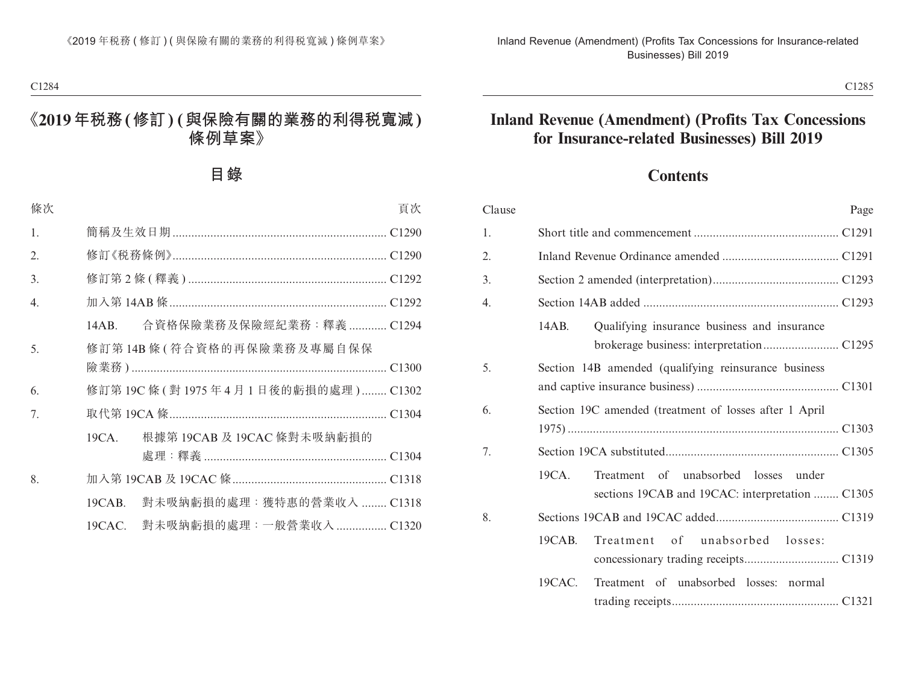# **Contents**

| Clause |                                                        |                                                 | Page |  |
|--------|--------------------------------------------------------|-------------------------------------------------|------|--|
| 1.     |                                                        |                                                 |      |  |
| 2.     |                                                        |                                                 |      |  |
| 3.     |                                                        |                                                 |      |  |
| 4.     |                                                        |                                                 |      |  |
|        | 14AB.                                                  | Qualifying insurance business and insurance     |      |  |
| 5.     | Section 14B amended (qualifying reinsurance business   |                                                 |      |  |
| 6.     | Section 19C amended (treatment of losses after 1 April |                                                 |      |  |
|        |                                                        |                                                 |      |  |
| 7.     |                                                        |                                                 |      |  |
|        | 19CA.                                                  | Treatment of unabsorbed losses under            |      |  |
|        |                                                        | sections 19CAB and 19CAC: interpretation  C1305 |      |  |
| 8.     |                                                        |                                                 |      |  |
|        | 19CAB.                                                 | of unabsorbed losses:<br>Treatment              |      |  |
|        |                                                        |                                                 |      |  |
|        | 19CAC.                                                 | Treatment of unabsorbed losses: normal          |      |  |
|        |                                                        |                                                 |      |  |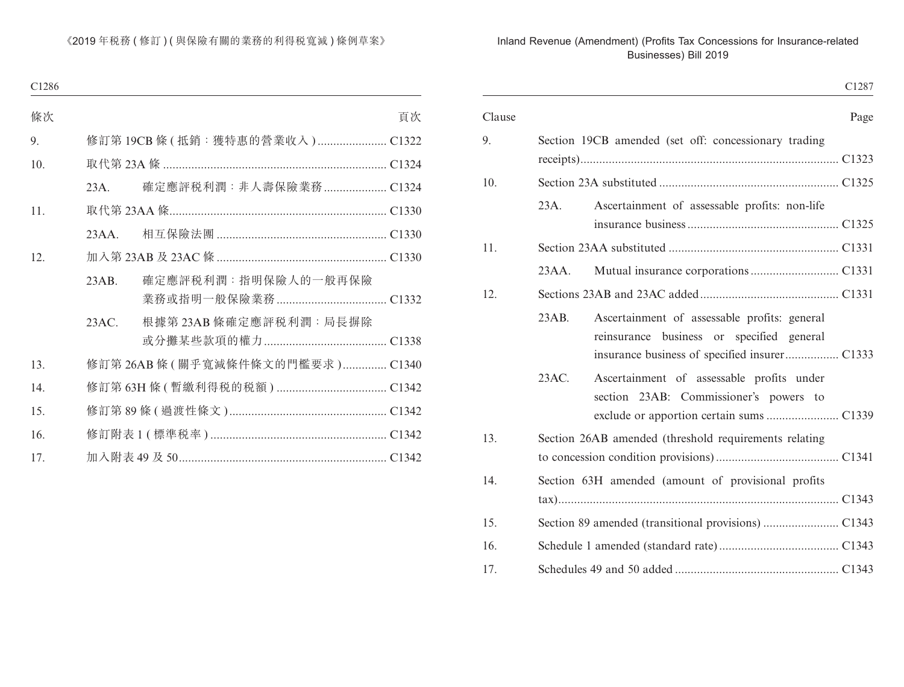|        |       |                                                                                           | C1287 |
|--------|-------|-------------------------------------------------------------------------------------------|-------|
| Clause |       |                                                                                           | Page  |
| 9.     |       | Section 19CB amended (set off: concessionary trading                                      |       |
| 10.    |       |                                                                                           |       |
|        | 23A.  | Ascertainment of assessable profits: non-life                                             |       |
| 11.    |       |                                                                                           |       |
|        | 23AA. |                                                                                           |       |
| 12.    |       |                                                                                           |       |
|        | 23AB. | Ascertainment of assessable profits: general<br>reinsurance business or specified general |       |
|        | 23AC. | Ascertainment of assessable profits under<br>section 23AB: Commissioner's powers to       |       |
| 13.    |       | Section 26AB amended (threshold requirements relating                                     |       |
| 14.    |       | Section 63H amended (amount of provisional profits                                        |       |
| 15.    |       |                                                                                           |       |
| 16.    |       |                                                                                           |       |
| 17.    |       |                                                                                           |       |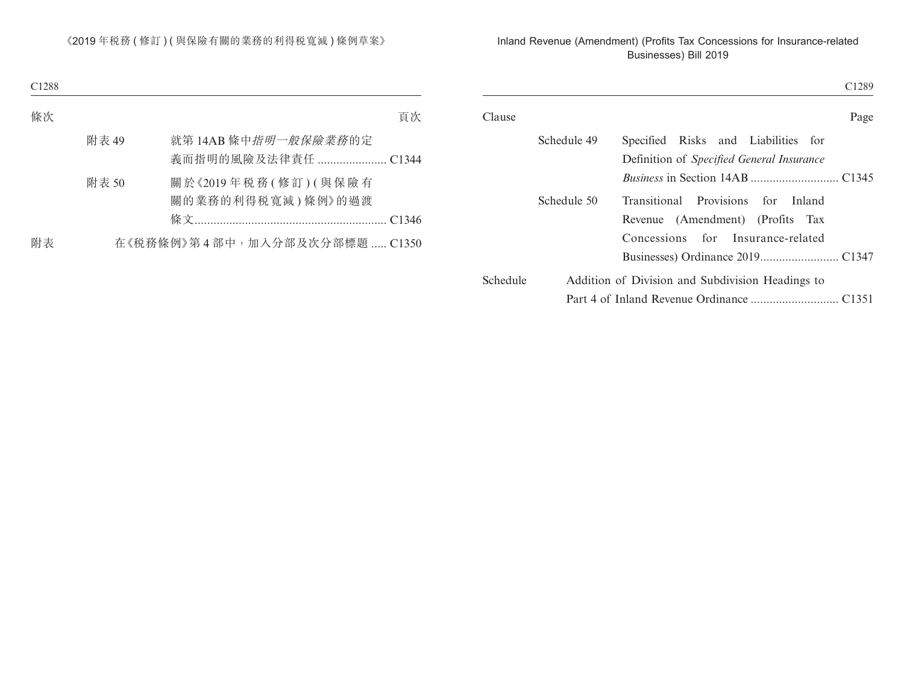| C <sub>1289</sub> |                                                                                                     |             |          |
|-------------------|-----------------------------------------------------------------------------------------------------|-------------|----------|
| Page              |                                                                                                     |             | Clause   |
|                   | Specified Risks and Liabilities for<br>Definition of Specified General Insurance                    | Schedule 49 |          |
| for Inland        | Provisions<br>Transitional<br>Revenue (Amendment) (Profits Tax<br>Concessions for Insurance-related | Schedule 50 |          |
|                   |                                                                                                     |             |          |
|                   | Addition of Division and Subdivision Headings to                                                    |             | Schedule |
|                   |                                                                                                     |             |          |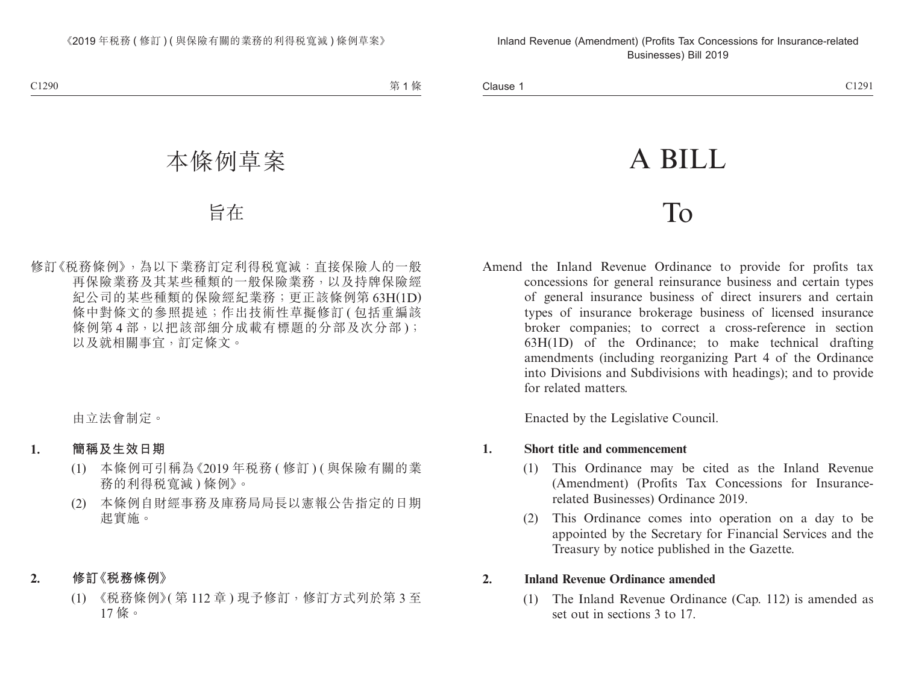# A BILL

# To

Amend the Inland Revenue Ordinance to provide for profits tax concessions for general reinsurance business and certain types of general insurance business of direct insurers and certain types of insurance brokerage business of licensed insurance broker companies; to correct a cross-reference in section 63H(1D) of the Ordinance; to make technical drafting amendments (including reorganizing Part 4 of the Ordinance into Divisions and Subdivisions with headings); and to provide for related matters.

Enacted by the Legislative Council.

#### **1. Short title and commencement**

- (1) This Ordinance may be cited as the Inland Revenue (Amendment) (Profits Tax Concessions for Insurancerelated Businesses) Ordinance 2019.
- (2) This Ordinance comes into operation on a day to be appointed by the Secretary for Financial Services and the Treasury by notice published in the Gazette.

### **2. Inland Revenue Ordinance amended**

(1) The Inland Revenue Ordinance (Cap. 112) is amended as set out in sections 3 to 17.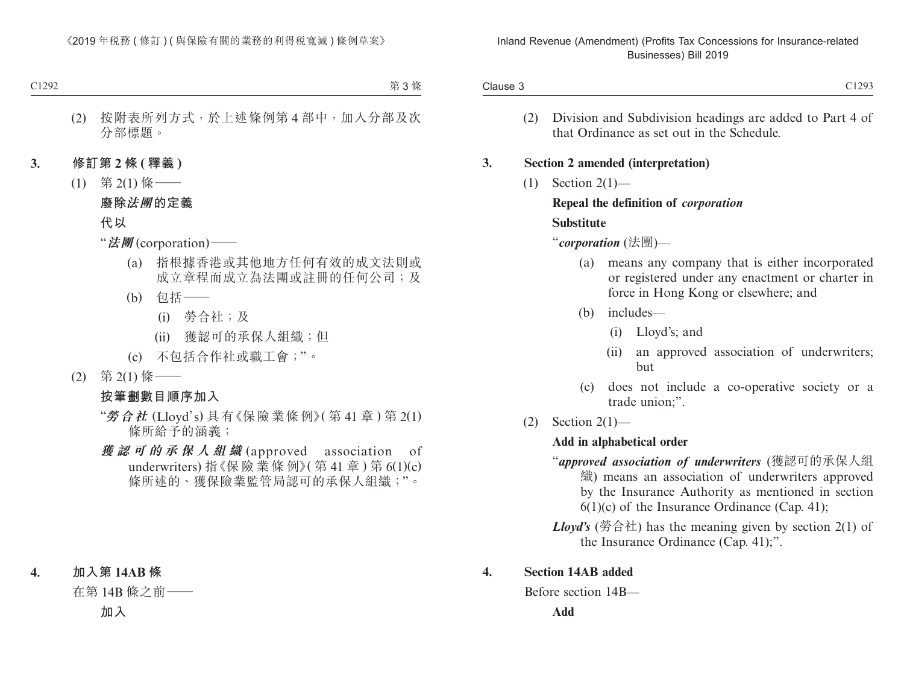| C1293                                                                                                                                                                                                        |                                                                                             | Clause 3 |
|--------------------------------------------------------------------------------------------------------------------------------------------------------------------------------------------------------------|---------------------------------------------------------------------------------------------|----------|
| Division and Subdivision headings are added to Part 4 of<br>that Ordinance as set out in the Schedule.                                                                                                       |                                                                                             | (2)      |
| <b>Section 2 amended (interpretation)</b>                                                                                                                                                                    |                                                                                             |          |
|                                                                                                                                                                                                              | Section $2(1)$ —<br>(1)<br>Repeal the definition of <i>corporation</i><br><b>Substitute</b> |          |
|                                                                                                                                                                                                              |                                                                                             |          |
|                                                                                                                                                                                                              |                                                                                             |          |
| "corporation (法團)—                                                                                                                                                                                           |                                                                                             |          |
| means any company that is either incorporated<br>or registered under any enactment or charter in<br>force in Hong Kong or elsewhere; and                                                                     | (a)                                                                                         |          |
| includes-                                                                                                                                                                                                    | (b)                                                                                         |          |
| Lloyd's; and<br>(i)                                                                                                                                                                                          |                                                                                             |          |
| an approved association of underwriters;<br>(ii)<br>but                                                                                                                                                      |                                                                                             |          |
| does not include a co-operative society or a<br>trade union;".                                                                                                                                               | (c)                                                                                         |          |
|                                                                                                                                                                                                              | Section $2(1)$ —                                                                            | (2)      |
|                                                                                                                                                                                                              | Add in alphabetical order                                                                   |          |
| "approved association of underwriters (獲認可的承保人組<br>織) means an association of underwriters approved<br>by the Insurance Authority as mentioned in section<br>$6(1)(c)$ of the Insurance Ordinance (Cap. 41); |                                                                                             |          |
| <b>Lloyd's</b> (勞合社) has the meaning given by section 2(1) of<br>the Insurance Ordinance (Cap. 41);".                                                                                                        |                                                                                             |          |

#### **4. Section 14AB added**

Before section 14B—

**Add**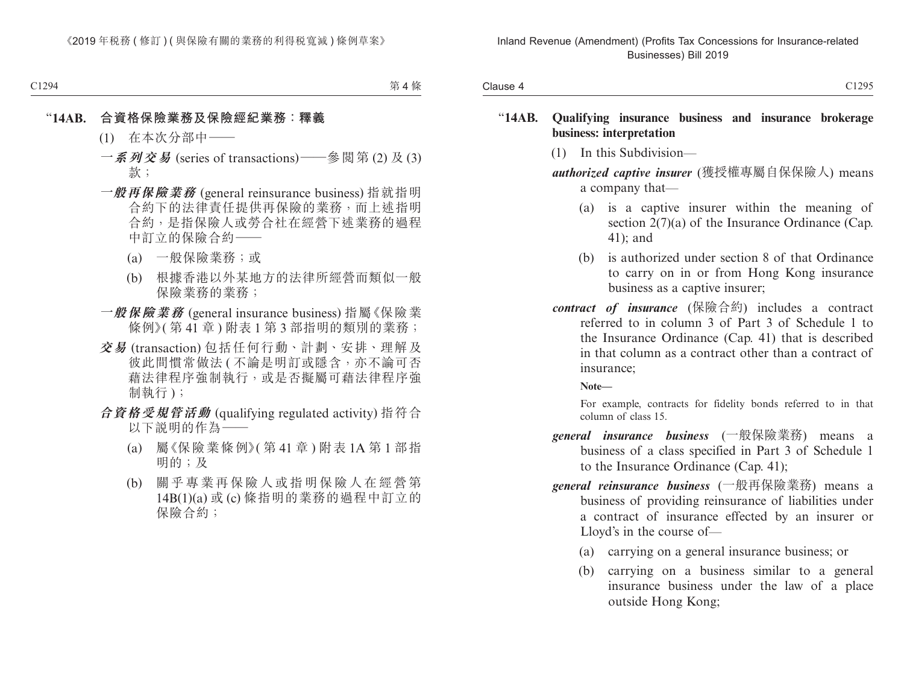| C1295<br>Clause 4<br><b>レエムノン</b> |
|-----------------------------------|
|                                   |

#### "**14AB. Qualifying insurance business and insurance brokerage business: interpretation**

(1) In this Subdivision—

*authorized captive insurer* (獲授權專屬自保保險人) means a company that—

- (a) is a captive insurer within the meaning of section 2(7)(a) of the Insurance Ordinance (Cap. 41); and
- (b) is authorized under section 8 of that Ordinance to carry on in or from Hong Kong insurance business as a captive insurer;
- *contract of insurance* (保險合約) includes a contract referred to in column 3 of Part 3 of Schedule 1 to the Insurance Ordinance (Cap. 41) that is described in that column as a contract other than a contract of insurance;

**Note—**

For example, contracts for fidelity bonds referred to in that column of class 15.

- *general insurance business* (一般保險業務) means a business of a class specified in Part 3 of Schedule 1 to the Insurance Ordinance (Cap. 41);
- *general reinsurance business* (一般再保險業務) means a business of providing reinsurance of liabilities under a contract of insurance effected by an insurer or Lloyd's in the course of—
	- (a) carrying on a general insurance business; or
	- (b) carrying on a business similar to a general insurance business under the law of a place outside Hong Kong;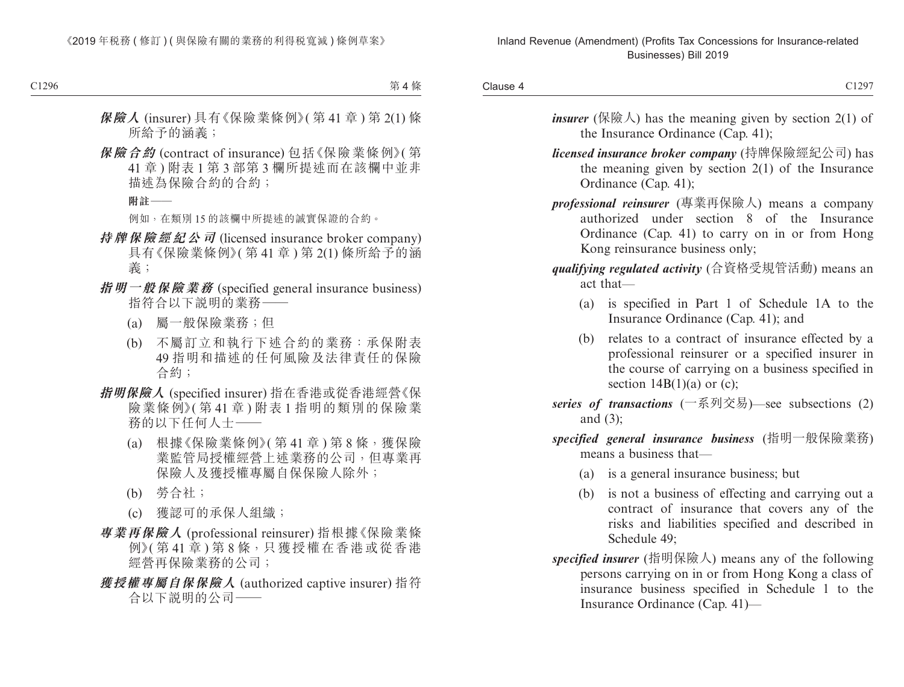Clause 4 Clause 4 and 2012/07/2012 12:00:00 Clause 4 and 2012/07/2012 12:00:00 Clause 4 and 2012/07

- *insurer* (保險人) has the meaning given by section  $2(1)$  of the Insurance Ordinance (Cap. 41);
- *licensed insurance broker company* (持牌保險經紀公司) has the meaning given by section 2(1) of the Insurance Ordinance (Cap. 41);
- *professional reinsurer* (專業再保險人) means a company authorized under section 8 of the Insurance Ordinance (Cap. 41) to carry on in or from Hong Kong reinsurance business only;

#### *qualifying regulated activity* (合資格受規管活動) means an act that—

- (a) is specified in Part 1 of Schedule 1A to the Insurance Ordinance (Cap. 41); and
- (b) relates to a contract of insurance effected by a professional reinsurer or a specified insurer in the course of carrying on a business specified in section  $14B(1)(a)$  or (c);
- *series of transactions* (一系列交易)—see subsections (2) and (3);
- *specified general insurance business* (指明一般保險業務) means a business that—
	- (a) is a general insurance business; but
	- (b) is not a business of effecting and carrying out a contract of insurance that covers any of the risks and liabilities specified and described in Schedule 49;
- *specified insurer* (指明保險人) means any of the following persons carrying on in or from Hong Kong a class of insurance business specified in Schedule 1 to the Insurance Ordinance (Cap. 41)—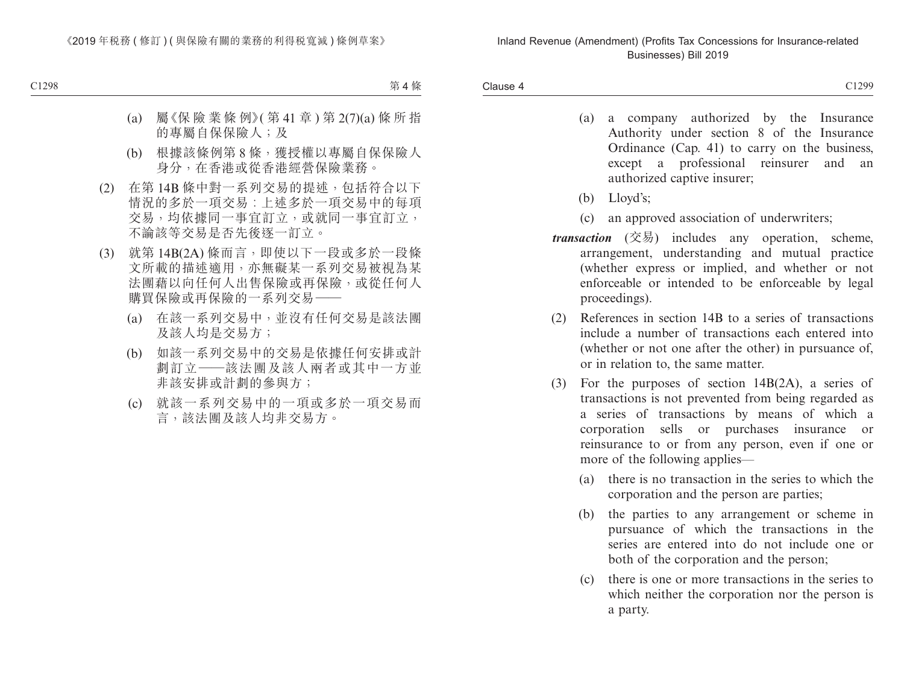- (a) a company authorized by the Insurance Authority under section 8 of the Insurance Ordinance (Cap. 41) to carry on the business, except a professional reinsurer and an authorized captive insurer;
- (b) Lloyd's;
- (c) an approved association of underwriters;
- *transaction* (交易) includes any operation, scheme, arrangement, understanding and mutual practice (whether express or implied, and whether or not enforceable or intended to be enforceable by legal proceedings).
- (2) References in section 14B to a series of transactions include a number of transactions each entered into (whether or not one after the other) in pursuance of, or in relation to, the same matter.
- (3) For the purposes of section 14B(2A), a series of transactions is not prevented from being regarded as a series of transactions by means of which a corporation sells or purchases insurance or reinsurance to or from any person, even if one or more of the following applies—
	- (a) there is no transaction in the series to which the corporation and the person are parties;
	- (b) the parties to any arrangement or scheme in pursuance of which the transactions in the series are entered into do not include one or both of the corporation and the person;
	- (c) there is one or more transactions in the series to which neither the corporation nor the person is a party.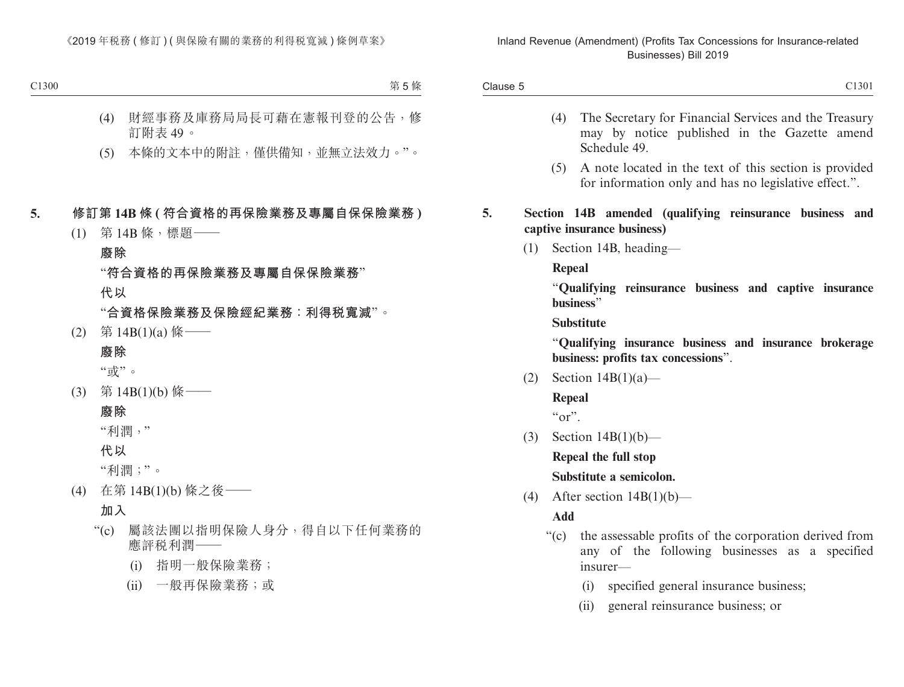- (4) The Secretary for Financial Services and the Treasury may by notice published in the Gazette amend Schedule 49.
- (5) A note located in the text of this section is provided for information only and has no legislative effect.".
- **5. Section 14B amended (qualifying reinsurance business and captive insurance business)**
	- (1) Section 14B, heading—

**Repeal**

"**Qualifying reinsurance business and captive insurance business**"

**Substitute**

"**Qualifying insurance business and insurance brokerage business: profits tax concessions**".

(2) Section  $14B(1)(a)$ —

**Repeal**

 $``\text{or}"$ 

(3) Section  $14B(1)(b)$ —

**Repeal the full stop**

**Substitute a semicolon.**

(4) After section  $14B(1)(b)$ —

**Add**

- "(c) the assessable profits of the corporation derived from any of the following businesses as a specified insurer—
	- (i) specified general insurance business;
	- (ii) general reinsurance business; or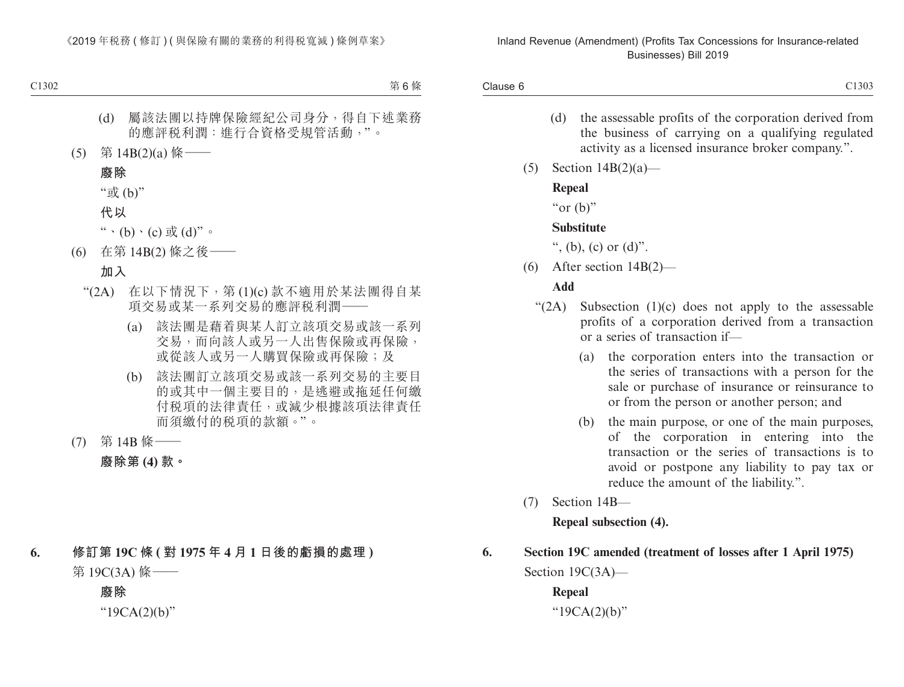Clause 6 Clause 6 C1303

- (d) the assessable profits of the corporation derived from the business of carrying on a qualifying regulated activity as a licensed insurance broker company.".
- (5) Section 14B(2)(a)—

#### **Repeal**

"or  $(b)$ "

#### **Substitute**

", (b), (c) or  $(d)$ ".

(6) After section 14B(2)—

#### **Add**

- " $(2A)$  Subsection  $(1)(c)$  does not apply to the assessable profits of a corporation derived from a transaction or a series of transaction if—
	- (a) the corporation enters into the transaction or the series of transactions with a person for the sale or purchase of insurance or reinsurance to or from the person or another person; and
	- (b) the main purpose, or one of the main purposes, of the corporation in entering into the transaction or the series of transactions is to avoid or postpone any liability to pay tax or reduce the amount of the liability.".
- (7) Section 14B—

**Repeal subsection (4).**

# **6. Section 19C amended (treatment of losses after 1 April 1975)** Section 19C(3A)—

**Repeal** "19CA(2)(b)"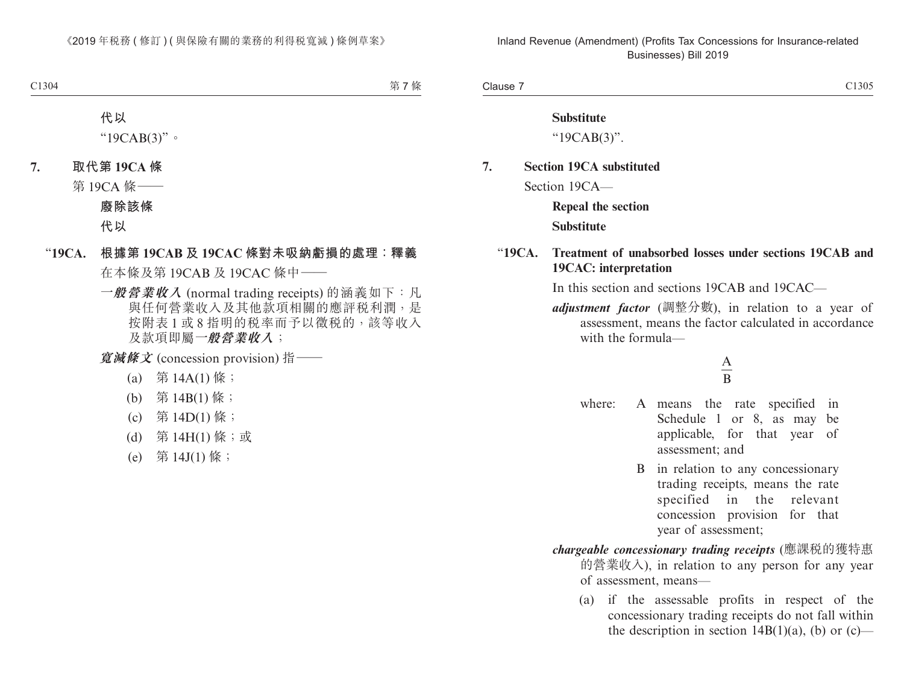Clause 7 Clause 7 C1305

#### **Substitute**

"19CAB(3)".

# **7. Section 19CA substituted**

Section 19CA—

**Repeal the section**

#### **Substitute**

#### "**19CA. Treatment of unabsorbed losses under sections 19CAB and 19CAC: interpretation**

In this section and sections 19CAB and 19CAC—

*adjustment factor* (調整分數), in relation to a year of assessment, means the factor calculated in accordance with the formula—

#### A B

- where: A means the rate specified in Schedule 1 or 8, as may be applicable, for that year of assessment; and
	- B in relation to any concessionary trading receipts, means the rate specified in the relevant concession provision for that year of assessment;

#### *chargeable concessionary trading receipts* (應課稅的獲特惠 的營業收入), in relation to any person for any year of assessment, means—

(a) if the assessable profits in respect of the concessionary trading receipts do not fall within the description in section  $14B(1)(a)$ , (b) or (c)—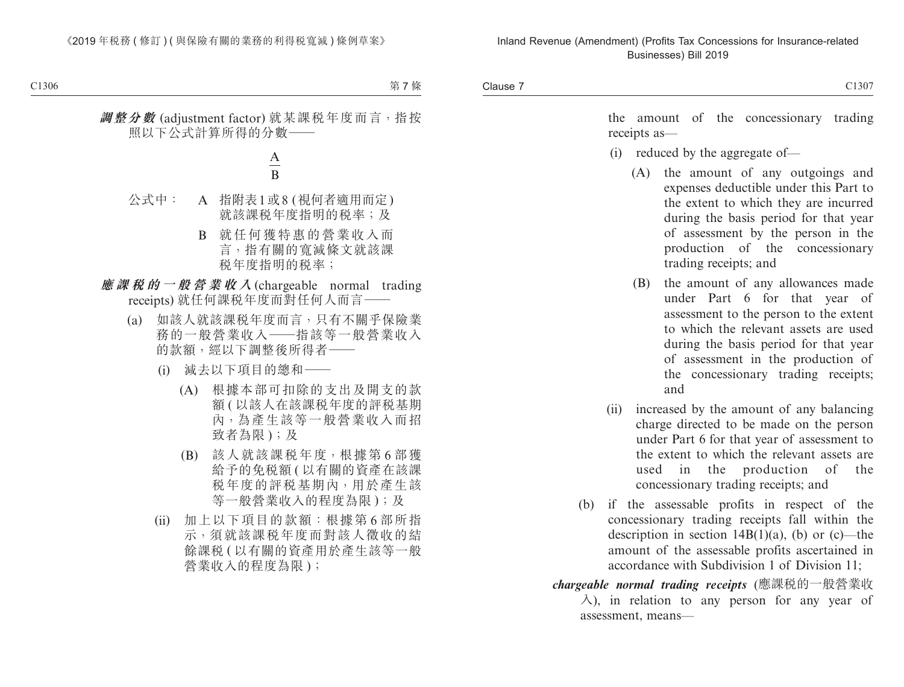the amount of the concessionary trading receipts as—

- (i) reduced by the aggregate of—
	- (A) the amount of any outgoings and expenses deductible under this Part to the extent to which they are incurred during the basis period for that year of assessment by the person in the production of the concessionary trading receipts; and
	- (B) the amount of any allowances made under Part 6 for that year of assessment to the person to the extent to which the relevant assets are used during the basis period for that year of assessment in the production of the concessionary trading receipts; and
- (ii) increased by the amount of any balancing charge directed to be made on the person under Part 6 for that year of assessment to the extent to which the relevant assets are used in the production of the concessionary trading receipts; and
- (b) if the assessable profits in respect of the concessionary trading receipts fall within the description in section  $14B(1)(a)$ , (b) or (c)—the amount of the assessable profits ascertained in accordance with Subdivision 1 of Division 11;
- *chargeable normal trading receipts* (應課稅的一般營業收  $\lambda$ ), in relation to any person for any year of assessment, means—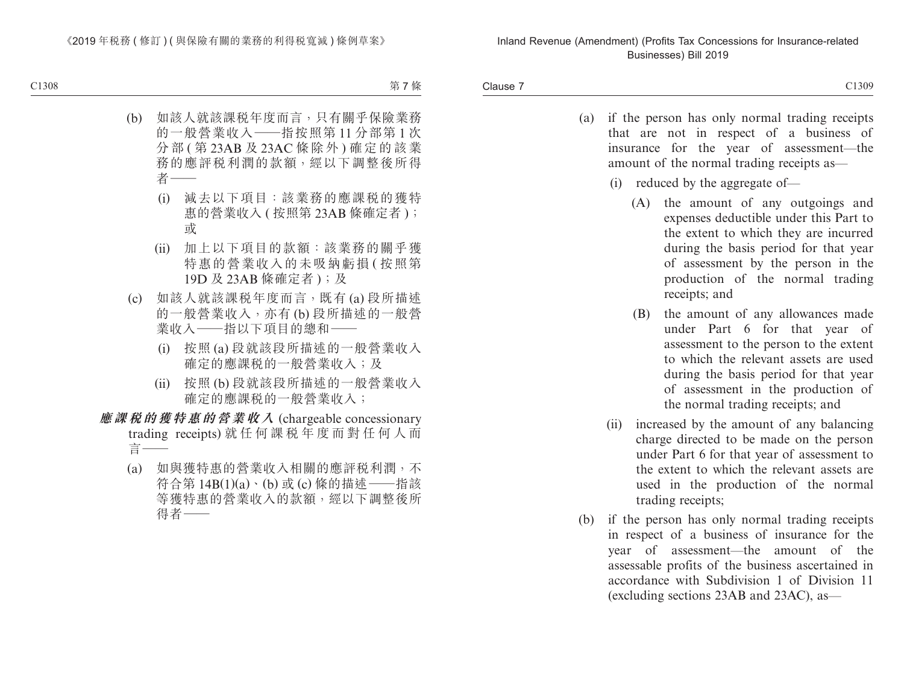Clause 7 Clause 7 C1309

- (a) if the person has only normal trading receipts that are not in respect of a business of insurance for the year of assessment—the amount of the normal trading receipts as—
	- (i) reduced by the aggregate of—
		- (A) the amount of any outgoings and expenses deductible under this Part to the extent to which they are incurred during the basis period for that year of assessment by the person in the production of the normal trading receipts; and
		- (B) the amount of any allowances made under Part 6 for that year of assessment to the person to the extent to which the relevant assets are used during the basis period for that year of assessment in the production of the normal trading receipts; and
	- (ii) increased by the amount of any balancing charge directed to be made on the person under Part 6 for that year of assessment to the extent to which the relevant assets are used in the production of the normal trading receipts;
- (b) if the person has only normal trading receipts in respect of a business of insurance for the year of assessment—the amount of the assessable profits of the business ascertained in accordance with Subdivision 1 of Division 11 (excluding sections 23AB and 23AC), as—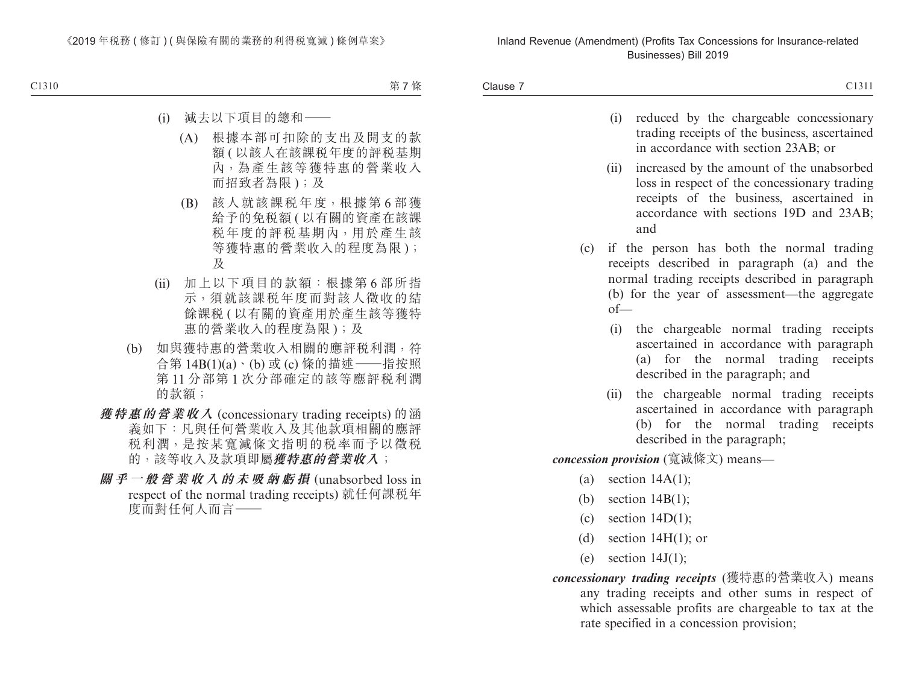Clause 7 Clause 7 C1311

| ×<br>۰.<br>v |  |
|--------------|--|
|--------------|--|

- (i) reduced by the chargeable concessionary trading receipts of the business, ascertained in accordance with section 23AB; or
- (ii) increased by the amount of the unabsorbed loss in respect of the concessionary trading receipts of the business, ascertained in accordance with sections 19D and 23AB; and
- (c) if the person has both the normal trading receipts described in paragraph (a) and the normal trading receipts described in paragraph (b) for the year of assessment—the aggregate of—
	- (i) the chargeable normal trading receipts ascertained in accordance with paragraph (a) for the normal trading receipts described in the paragraph; and
	- (ii) the chargeable normal trading receipts ascertained in accordance with paragraph (b) for the normal trading receipts described in the paragraph;

*concession provision* (寬減條文) means—

- (a) section  $14A(1)$ ;
- (b) section 14B(1);
- (c) section  $14D(1)$ ;
- (d) section  $14H(1)$ ; or
- (e) section  $14J(1)$ ;
- *concessionary trading receipts* (獲特惠的營業收入) means any trading receipts and other sums in respect of which assessable profits are chargeable to tax at the rate specified in a concession provision;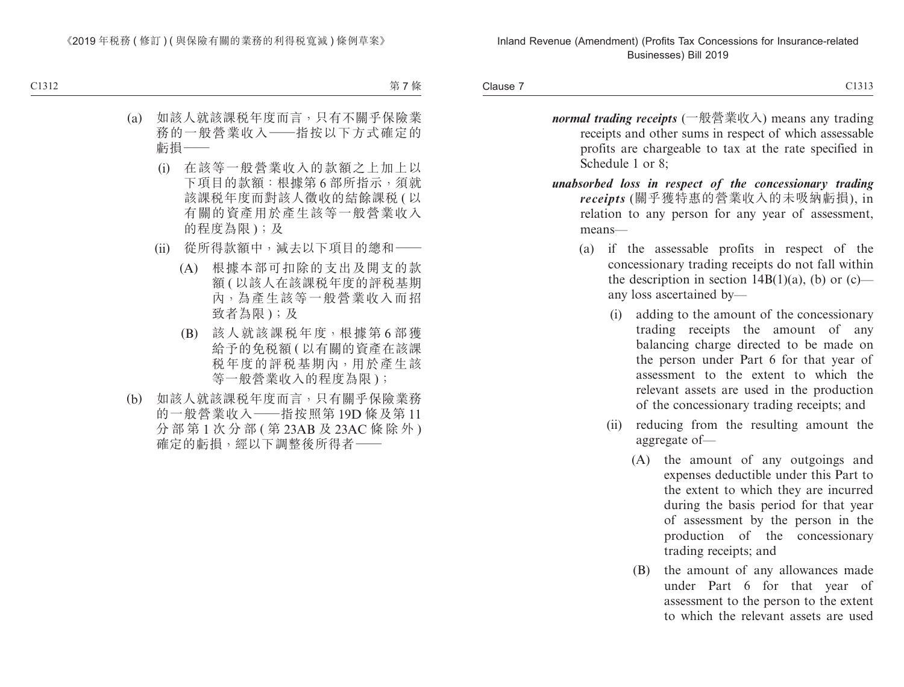Clause 7 Clause 7 and 2013 and 2013 and 2013 and 2013 and 2013 and 2013 and 2013 and 2013 and 2013 and 2013 and 2013 and 2013 and 2013 and 2013 and 2013 and 2013 and 2013 and 2013 and 2013 and 2013 and 2013 and 2013 and 2013 and 20

- *normal trading receipts* (一般營業收入) means any trading receipts and other sums in respect of which assessable profits are chargeable to tax at the rate specified in Schedule 1 or 8;
- *unabsorbed loss in respect of the concessionary trading receipts* (關乎獲特惠的營業收入的未吸納虧損), in relation to any person for any year of assessment, means—
	- (a) if the assessable profits in respect of the concessionary trading receipts do not fall within the description in section  $14B(1)(a)$ , (b) or (c) any loss ascertained by—
		- (i) adding to the amount of the concessionary trading receipts the amount of any balancing charge directed to be made on the person under Part 6 for that year of assessment to the extent to which the relevant assets are used in the production of the concessionary trading receipts; and
		- (ii) reducing from the resulting amount the aggregate of—
			- (A) the amount of any outgoings and expenses deductible under this Part to the extent to which they are incurred during the basis period for that year of assessment by the person in the production of the concessionary trading receipts; and
			- (B) the amount of any allowances made under Part 6 for that year of assessment to the person to the extent to which the relevant assets are used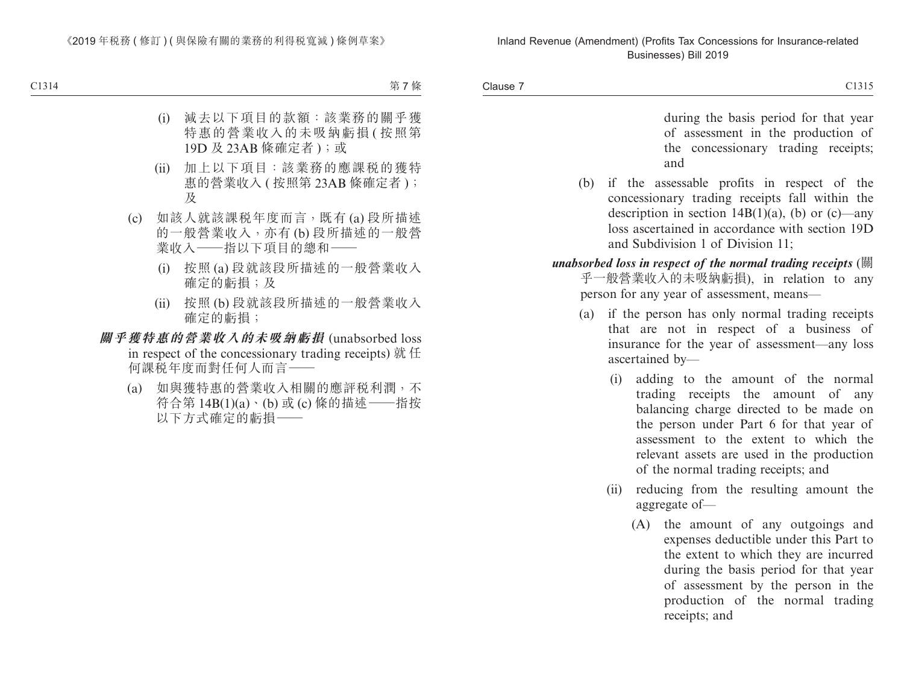Clause 7 Clause 7 and 2013 Clause 7 and 2013 Clause 7 and 2013 Clause 7 and 2013 Clause 7 and 2013 Clause 7 and 2014 Clause 2

during the basis period for that year of assessment in the production of the concessionary trading receipts; and

- (b) if the assessable profits in respect of the concessionary trading receipts fall within the description in section  $14B(1)(a)$ , (b) or (c)—any loss ascertained in accordance with section 19D and Subdivision 1 of Division 11;
- *unabsorbed loss in respect of the normal trading receipts* (關 乎一般營業收入的未吸納虧損), in relation to any person for any year of assessment, means—
	- (a) if the person has only normal trading receipts that are not in respect of a business of insurance for the year of assessment—any loss ascertained by—
		- (i) adding to the amount of the normal trading receipts the amount of any balancing charge directed to be made on the person under Part 6 for that year of assessment to the extent to which the relevant assets are used in the production of the normal trading receipts; and
		- (ii) reducing from the resulting amount the aggregate of—
			- (A) the amount of any outgoings and expenses deductible under this Part to the extent to which they are incurred during the basis period for that year of assessment by the person in the production of the normal trading receipts; and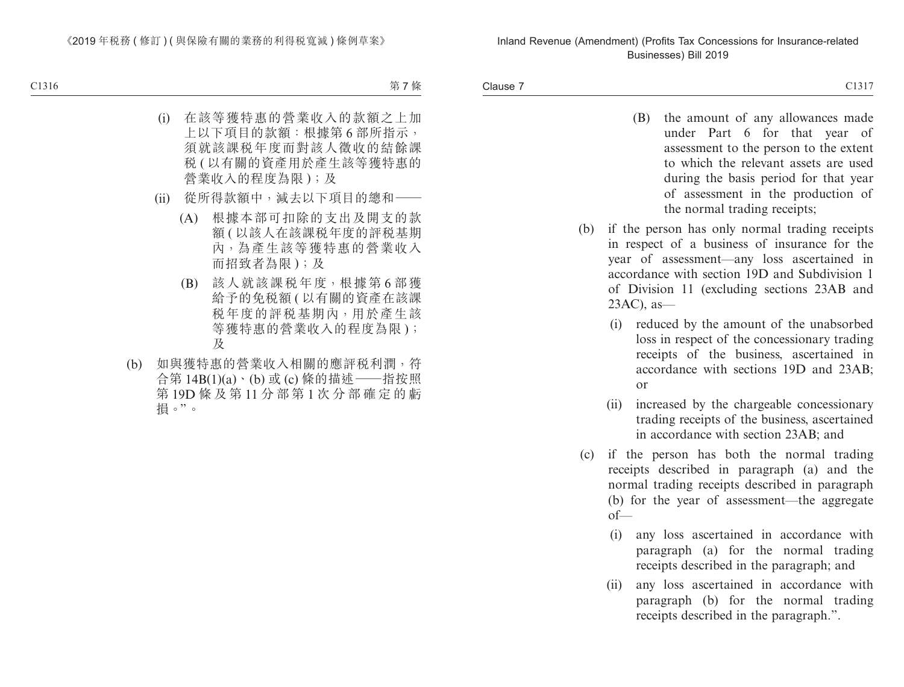Clause 7 Clause 7 and 2013 and 2013 and 2013 and 2013 and 2013 and 2013 and 2013 and 2013 and 2013 and 2013 and 2013 and 2013 and 2013 and 2013 and 2013 and 2013 and 2013 and 2013 and 2013 and 2013 and 2013 and 2013 and 2013 and 20

- (B) the amount of any allowances made under Part 6 for that year of assessment to the person to the extent to which the relevant assets are used during the basis period for that year of assessment in the production of the normal trading receipts;
- (b) if the person has only normal trading receipts in respect of a business of insurance for the year of assessment—any loss ascertained in accordance with section 19D and Subdivision 1 of Division 11 (excluding sections 23AB and 23AC), as—
	- (i) reduced by the amount of the unabsorbed loss in respect of the concessionary trading receipts of the business, ascertained in accordance with sections 19D and 23AB; or
	- (ii) increased by the chargeable concessionary trading receipts of the business, ascertained in accordance with section 23AB; and
- (c) if the person has both the normal trading receipts described in paragraph (a) and the normal trading receipts described in paragraph (b) for the year of assessment—the aggregate of—
	- (i) any loss ascertained in accordance with paragraph (a) for the normal trading receipts described in the paragraph; and
	- (ii) any loss ascertained in accordance with paragraph (b) for the normal trading receipts described in the paragraph.".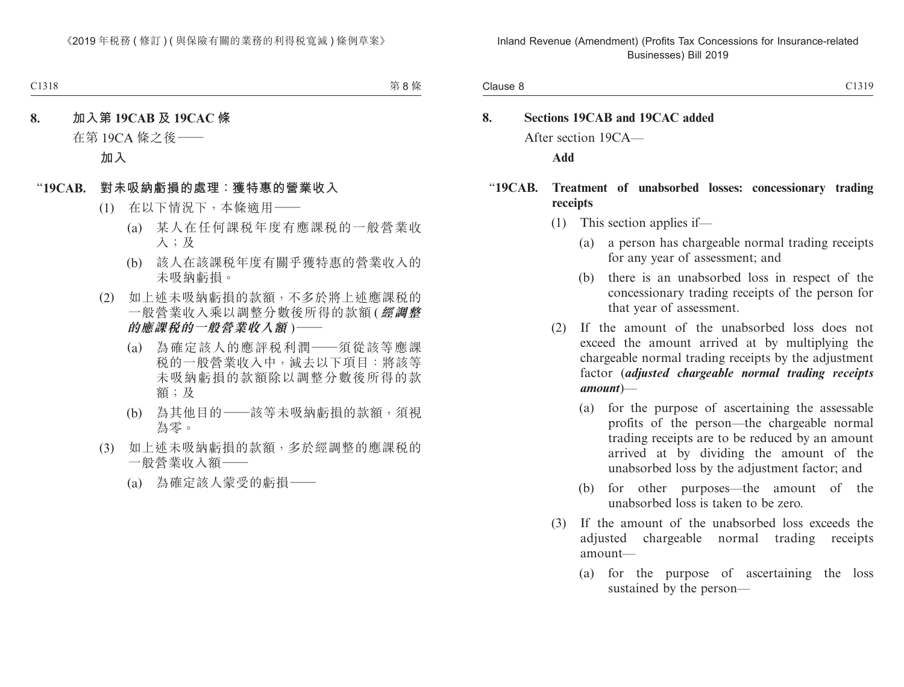# **8. Sections 19CAB and 19CAC added** After section 19CA—

**Add**

#### "**19CAB. Treatment of unabsorbed losses: concessionary trading receipts**

- (1) This section applies if—
	- (a) a person has chargeable normal trading receipts for any year of assessment; and
	- (b) there is an unabsorbed loss in respect of the concessionary trading receipts of the person for that year of assessment.
- (2) If the amount of the unabsorbed loss does not exceed the amount arrived at by multiplying the chargeable normal trading receipts by the adjustment factor (*adjusted chargeable normal trading receipts amount*)—
	- (a) for the purpose of ascertaining the assessable profits of the person—the chargeable normal trading receipts are to be reduced by an amount arrived at by dividing the amount of the unabsorbed loss by the adjustment factor; and
	- (b) for other purposes—the amount of the unabsorbed loss is taken to be zero.
- (3) If the amount of the unabsorbed loss exceeds the adjusted chargeable normal trading receipts amount—
	- (a) for the purpose of ascertaining the loss sustained by the person—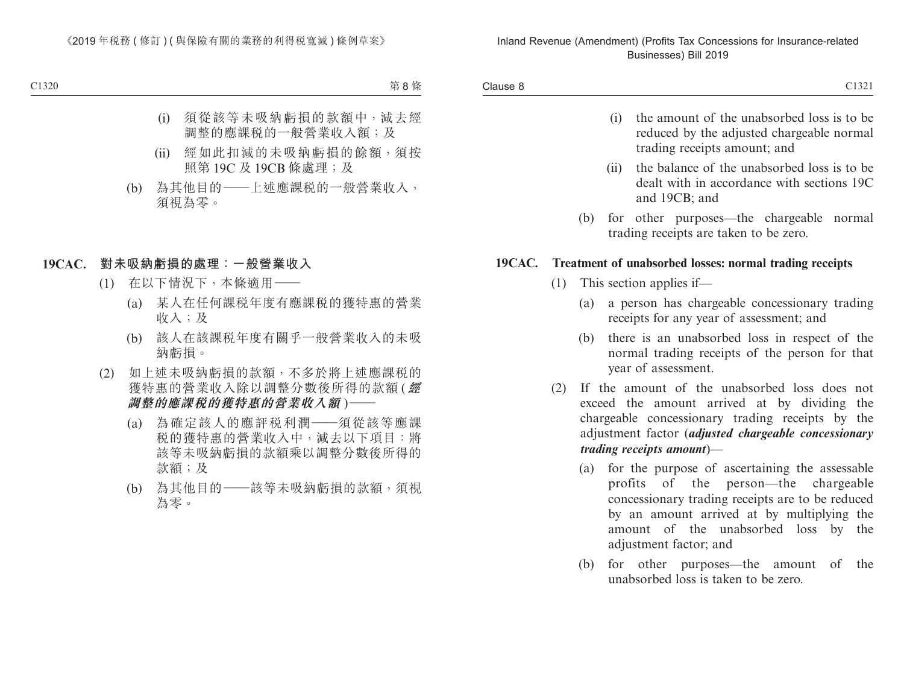- (i) the amount of the unabsorbed loss is to be reduced by the adjusted chargeable normal trading receipts amount; and
- (ii) the balance of the unabsorbed loss is to be dealt with in accordance with sections 19C and 19CB; and
- (b) for other purposes—the chargeable normal trading receipts are taken to be zero.

#### **19CAC. Treatment of unabsorbed losses: normal trading receipts**

- (1) This section applies if—
	- (a) a person has chargeable concessionary trading receipts for any year of assessment; and
	- (b) there is an unabsorbed loss in respect of the normal trading receipts of the person for that year of assessment.
- (2) If the amount of the unabsorbed loss does not exceed the amount arrived at by dividing the chargeable concessionary trading receipts by the adjustment factor (*adjusted chargeable concessionary trading receipts amount*)—
	- (a) for the purpose of ascertaining the assessable profits of the person—the chargeable concessionary trading receipts are to be reduced by an amount arrived at by multiplying the amount of the unabsorbed loss by the adjustment factor; and
	- (b) for other purposes—the amount of the unabsorbed loss is taken to be zero.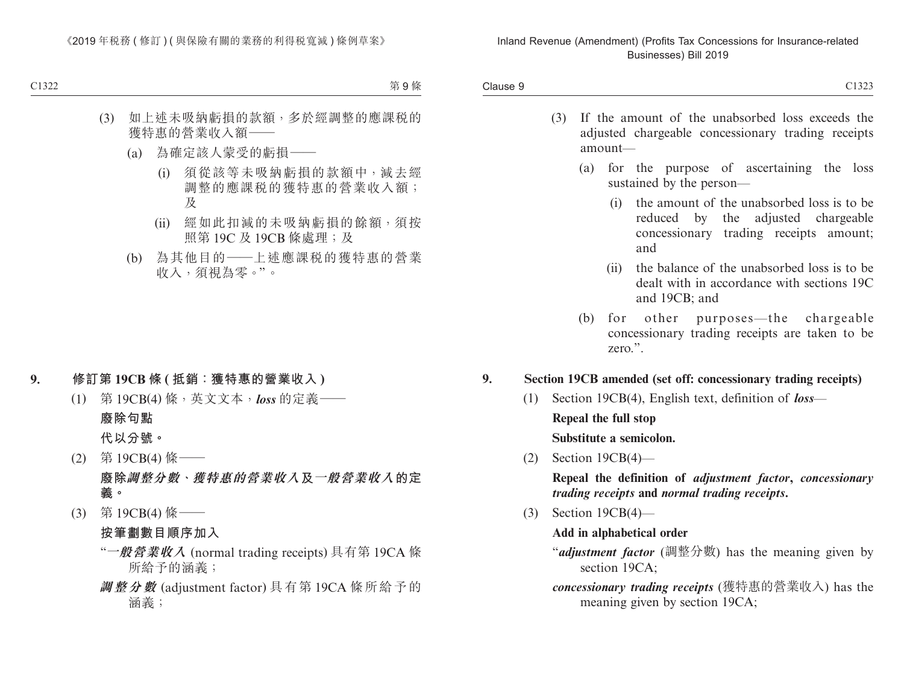- (3) If the amount of the unabsorbed loss exceeds the adjusted chargeable concessionary trading receipts amount—
	- (a) for the purpose of ascertaining the loss sustained by the person—
		- (i) the amount of the unabsorbed loss is to be reduced by the adjusted chargeable concessionary trading receipts amount; and
		- (ii) the balance of the unabsorbed loss is to be dealt with in accordance with sections 19C and 19CB; and
	- (b) for other purposes—the chargeable concessionary trading receipts are taken to be zero.".

#### **9. Section 19CB amended (set off: concessionary trading receipts)**

- (1) Section 19CB(4), English text, definition of *loss* **Repeal the full stop Substitute a semicolon.**
- (2) Section 19CB(4)—

**Repeal the definition of** *adjustment factor***,** *concessionary trading receipts* **and** *normal trading receipts***.**

(3) Section 19CB(4)—

#### **Add in alphabetical order**

- "*adjustment factor* (調整分數) has the meaning given by section 19CA:
- *concessionary trading receipts* (獲特惠的營業收入) has the meaning given by section 19CA;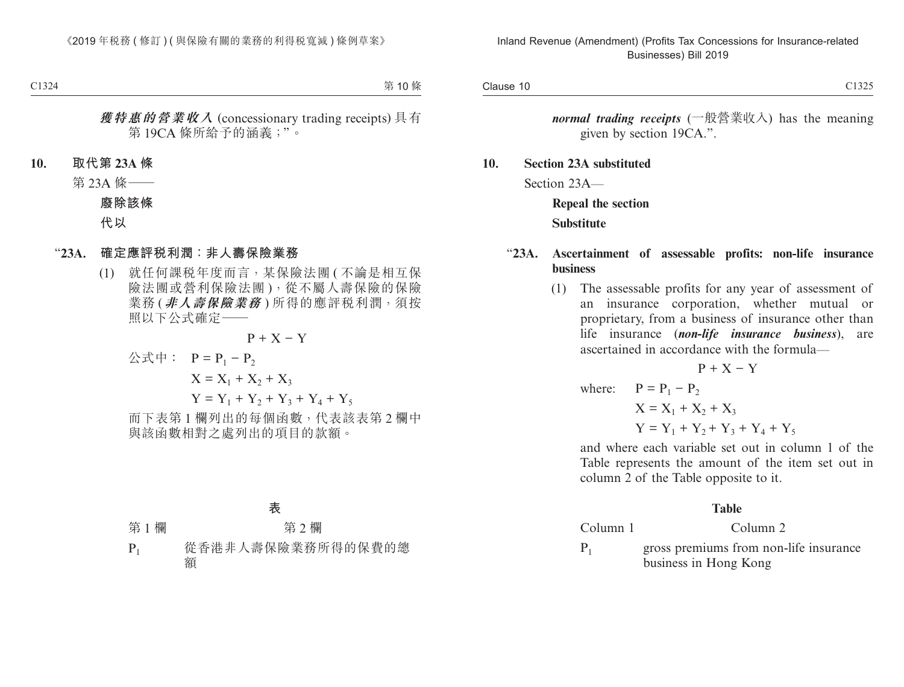*normal trading receipts* (一般營業收入) has the meaning given by section 19CA.".

**10. Section 23A substituted** Section 23A—

> **Repeal the section Substitute**

#### "**23A. Ascertainment of assessable profits: non-life insurance business**

(1) The assessable profits for any year of assessment of an insurance corporation, whether mutual or proprietary, from a business of insurance other than life insurance (*non-life insurance business*), are ascertained in accordance with the formula—

$$
P + X - Y
$$

where:  $P = P_1 - P_2$  $X = X_1 + X_2 + X_3$  $Y = Y_1 + Y_2 + Y_3 + Y_4 + Y_5$ 

and where each variable set out in column 1 of the Table represents the amount of the item set out in column 2 of the Table opposite to it.

#### **Table**

Column 1 Column 2

 $P_1$  gross premiums from non-life insurance business in Hong Kong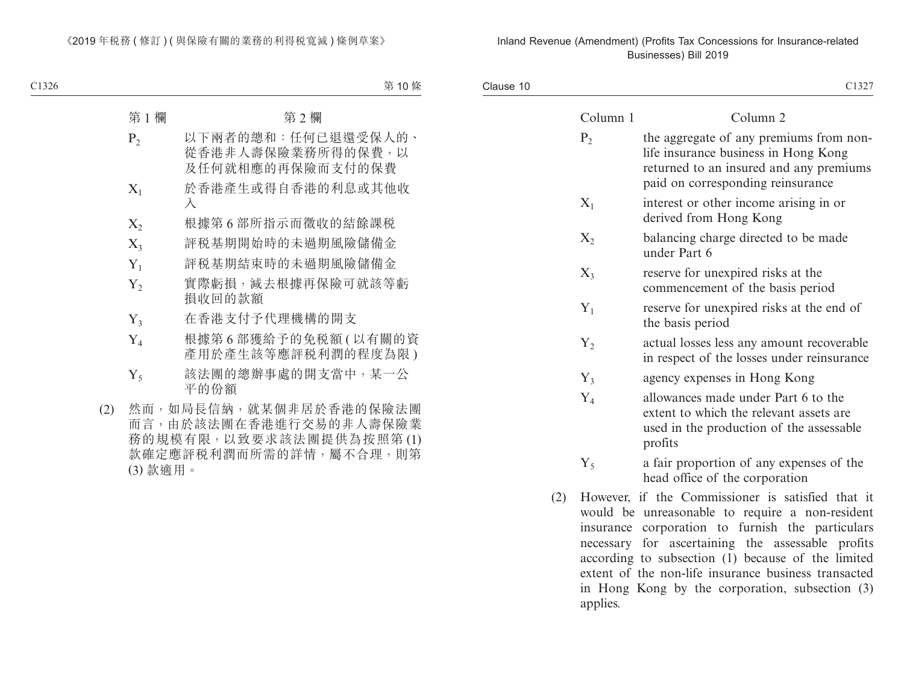Clause 10 Clause 10 and 2013 Clause 10 and 2013 Clause 10 and 2013 Clause 10 and 2013 Clause 10 and 2013 Clause 10 and 20

| ×  | I |
|----|---|
| ۰, |   |
|    |   |

|     | Column 1               | Column <sub>2</sub>                                                                                                                                             |
|-----|------------------------|-----------------------------------------------------------------------------------------------------------------------------------------------------------------|
|     | $P_2$                  | the aggregate of any premiums from non-<br>life insurance business in Hong Kong<br>returned to an insured and any premiums<br>paid on corresponding reinsurance |
|     | $X_1$                  | interest or other income arising in or<br>derived from Hong Kong                                                                                                |
|     | $X_2$                  | balancing charge directed to be made<br>under Part 6                                                                                                            |
|     | $X_3$                  | reserve for unexpired risks at the<br>commencement of the basis period                                                                                          |
|     | $Y_1$                  | reserve for unexpired risks at the end of<br>the basis period                                                                                                   |
|     | $Y_2$                  | actual losses less any amount recoverable<br>in respect of the losses under reinsurance                                                                         |
|     | $Y_3$                  | agency expenses in Hong Kong                                                                                                                                    |
|     | $Y_4$                  | allowances made under Part 6 to the<br>extent to which the relevant assets are<br>used in the production of the assessable<br>profits                           |
|     | $Y_5$                  | a fair proportion of any expenses of the<br>head office of the corporation                                                                                      |
| (2) | $\mathbf{H}$ assessed. | $\mathcal{L}$ the Commissionary is set of all that it                                                                                                           |

(2) However, if the Commissioner is satisfied that it would be unreasonable to require a non-resident insurance corporation to furnish the particulars necessary for ascertaining the assessable profits according to subsection (1) because of the limited extent of the non-life insurance business transacted in Hong Kong by the corporation, subsection (3) applies.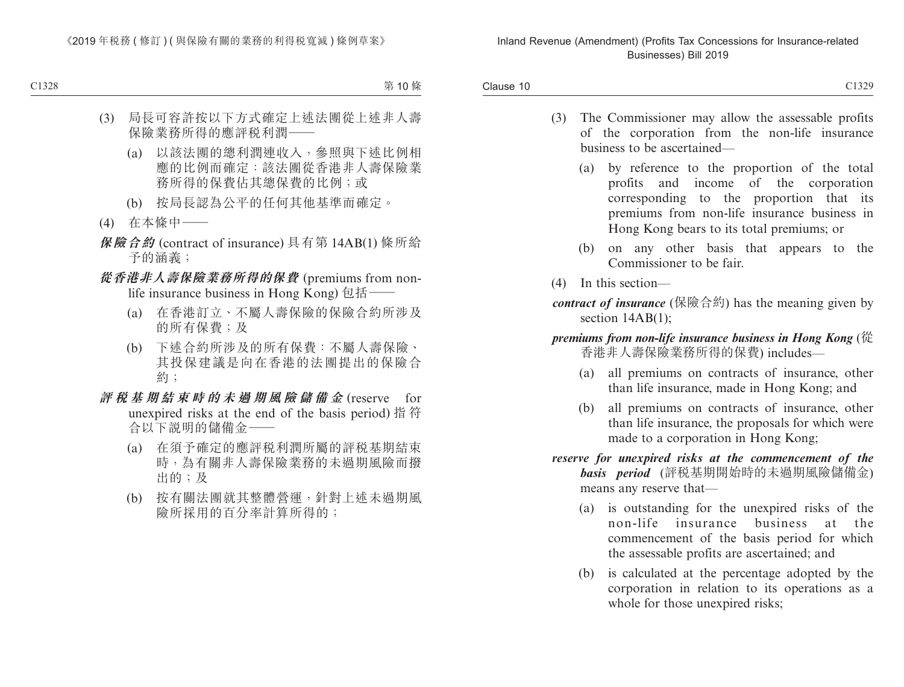- (3) The Commissioner may allow the assessable profits of the corporation from the non-life insurance business to be ascertained—
	- (a) by reference to the proportion of the total profits and income of the corporation corresponding to the proportion that its premiums from non-life insurance business in Hong Kong bears to its total premiums; or
	- (b) on any other basis that appears to the Commissioner to be fair.
- (4) In this section—
- *contract of insurance* (保險合約) has the meaning given by section 14AB(1);
- *premiums from non-life insurance business in Hong Kong* (從 香港非人壽保險業務所得的保費) includes—
	- (a) all premiums on contracts of insurance, other than life insurance, made in Hong Kong; and
	- (b) all premiums on contracts of insurance, other than life insurance, the proposals for which were made to a corporation in Hong Kong;
- *reserve for unexpired risks at the commencement of the basis period* (評稅基期開始時的未過期風險儲備金) means any reserve that—
	- (a) is outstanding for the unexpired risks of the non-life insurance business at the commencement of the basis period for which the assessable profits are ascertained; and
	- (b) is calculated at the percentage adopted by the corporation in relation to its operations as a whole for those unexpired risks;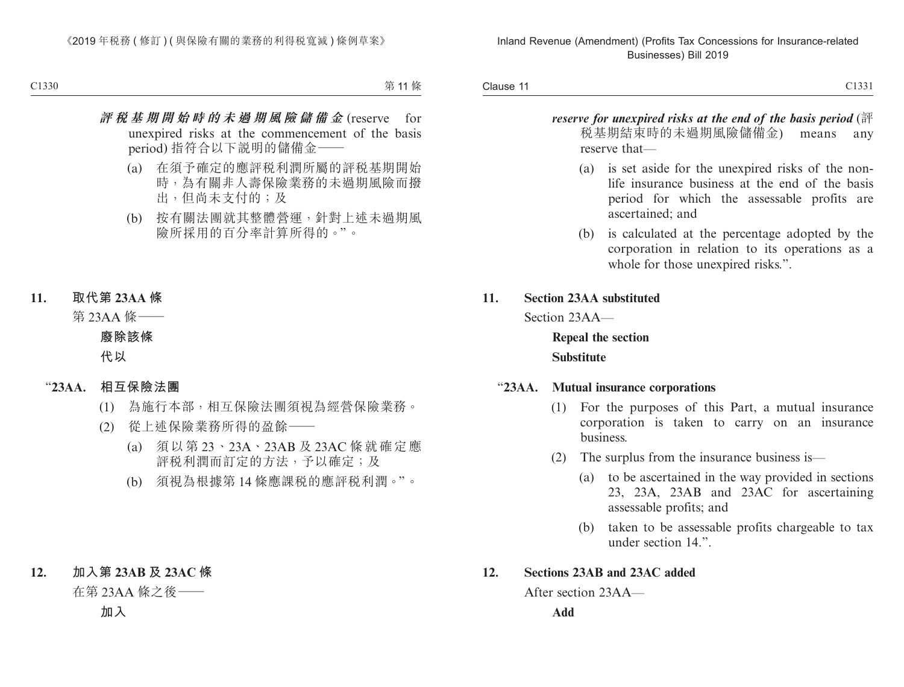Clause 11 Clause 11 Clause 11

*reserve for unexpired risks at the end of the basis period* (評 稅基期結束時的未過期風險儲備金) means any reserve that—

- (a) is set aside for the unexpired risks of the nonlife insurance business at the end of the basis period for which the assessable profits are ascertained; and
- (b) is calculated at the percentage adopted by the corporation in relation to its operations as a whole for those unexpired risks.".

#### **11. Section 23AA substituted**

Section 23AA—

**Repeal the section Substitute**

#### "**23AA. Mutual insurance corporations**

- (1) For the purposes of this Part, a mutual insurance corporation is taken to carry on an insurance business.
- (2) The surplus from the insurance business is—
	- (a) to be ascertained in the way provided in sections 23, 23A, 23AB and 23AC for ascertaining assessable profits; and
	- (b) taken to be assessable profits chargeable to tax under section 14.".

#### **12. Sections 23AB and 23AC added**

After section 23AA—

**Add**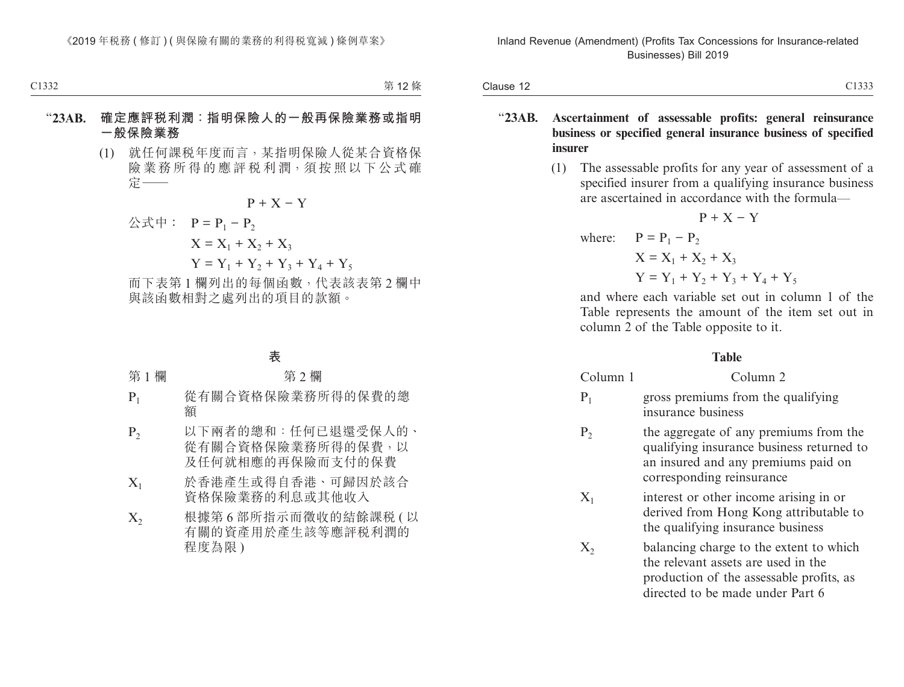- "**23AB. Ascertainment of assessable profits: general reinsurance business or specified general insurance business of specified insurer**
	- (1) The assessable profits for any year of assessment of a specified insurer from a qualifying insurance business are ascertained in accordance with the formula—

$$
P + X - Y
$$
  
where:  $P = P_1 - P_2$   
 $X = X_1 + X_2 + X_3$   
 $Y = Y_1 + Y_2 + Y_3 + Y_4 + Y_5$ 

and where each variable set out in column 1 of the Table represents the amount of the item set out in column 2 of the Table opposite to it.

#### **Table**

| Column 1 | Column 2                                                 |
|----------|----------------------------------------------------------|
| $P_1$    | gross premiums from the qualifying<br>insurance business |

- $P<sub>2</sub>$  the aggregate of any premiums from the qualifying insurance business returned to an insured and any premiums paid on corresponding reinsurance
- $X_1$  interest or other income arising in or derived from Hong Kong attributable to the qualifying insurance business
- $X_2$  balancing charge to the extent to which the relevant assets are used in the production of the assessable profits, as directed to be made under Part 6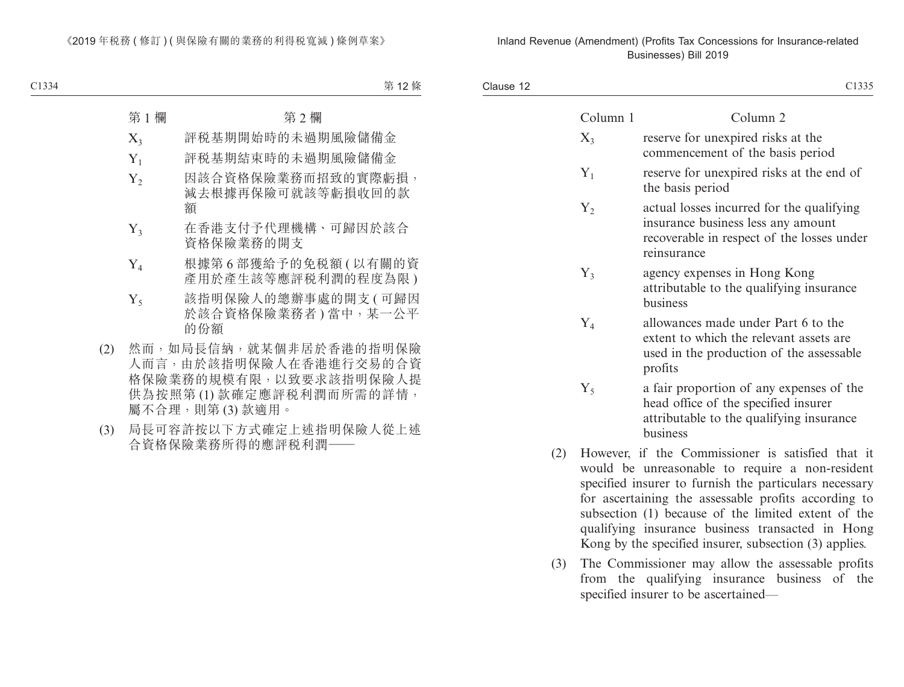| Clause 12 |          | C1335                                                                                                                                                          |
|-----------|----------|----------------------------------------------------------------------------------------------------------------------------------------------------------------|
|           | Column 1 | Column 2                                                                                                                                                       |
|           | $X_3$    | reserve for unexpired risks at the<br>commencement of the basis period                                                                                         |
|           | $Y_1$    | reserve for unexpired risks at the end of<br>the basis period                                                                                                  |
|           | $Y_2$    | actual losses incurred for the qualifying<br>insurance business less any amount<br>recoverable in respect of the losses under<br>reinsurance                   |
|           | $Y_3$    | agency expenses in Hong Kong<br>attributable to the qualifying insurance<br>business                                                                           |
|           | $Y_4$    | allowances made under Part 6 to the<br>extent to which the relevant assets are<br>used in the production of the assessable<br>profits                          |
|           | $Y_5$    | a fair proportion of any expenses of the<br>head office of the specified insurer<br>attributable to the qualifying insurance<br>business                       |
| (2)       |          | However, if the Commissioner is satisfied that it<br>would be unreasonable to require a non-resident<br>specified insurer to furnish the particulars necessary |

- for ascertaining the assessable profits according to subsection (1) because of the limited extent of the qualifying insurance business transacted in Hong Kong by the specified insurer, subsection (3) applies.
- (3) The Commissioner may allow the assessable profits from the qualifying insurance business of the specified insurer to be ascertained—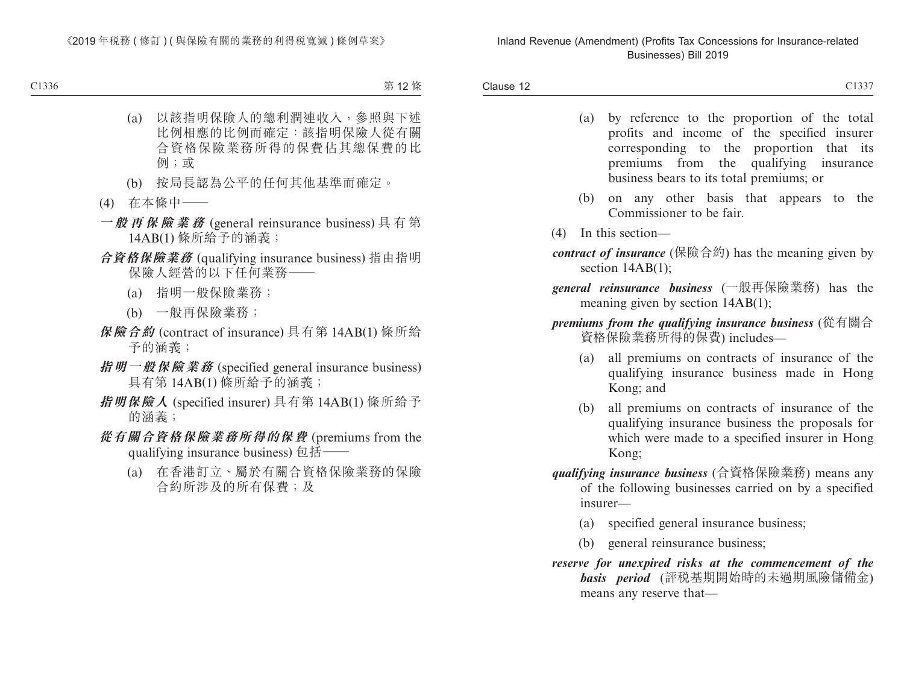- (a) by reference to the proportion of the total profits and income of the specified insurer corresponding to the proportion that its premiums from the qualifying insurance business bears to its total premiums; or
- (b) on any other basis that appears to the Commissioner to be fair.
- (4) In this section—
- *contract of insurance* (保險合約) has the meaning given by section  $14AB(1)$ :
- *general reinsurance business* (一般再保險業務) has the meaning given by section 14AB(1);
- *premiums from the qualifying insurance business* (從有關合 資格保險業務所得的保費) includes—
	- (a) all premiums on contracts of insurance of the qualifying insurance business made in Hong Kong; and
	- (b) all premiums on contracts of insurance of the qualifying insurance business the proposals for which were made to a specified insurer in Hong Kong;
- *qualifying insurance business* (合資格保險業務) means any of the following businesses carried on by a specified insurer—
	- (a) specified general insurance business;
	- (b) general reinsurance business;
- *reserve for unexpired risks at the commencement of the basis period* (評稅基期開始時的未過期風險儲備金) means any reserve that—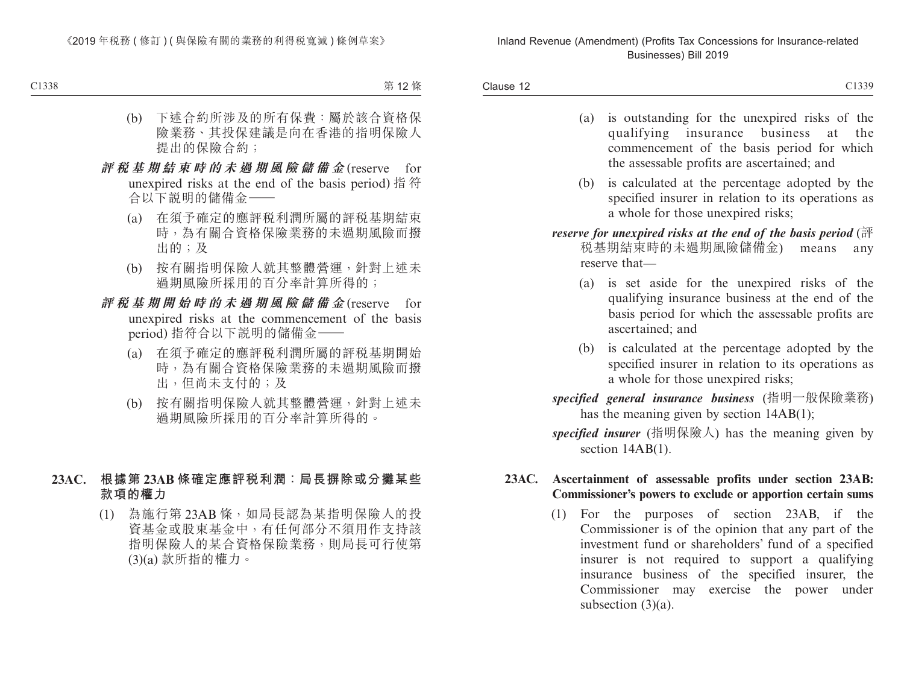- (a) is outstanding for the unexpired risks of the qualifying insurance business at the commencement of the basis period for which the assessable profits are ascertained; and
- (b) is calculated at the percentage adopted by the specified insurer in relation to its operations as a whole for those unexpired risks;
- *reserve for unexpired risks at the end of the basis period* (評 稅基期結束時的未過期風險儲備金) means any reserve that—
	- (a) is set aside for the unexpired risks of the qualifying insurance business at the end of the basis period for which the assessable profits are ascertained; and
	- (b) is calculated at the percentage adopted by the specified insurer in relation to its operations as a whole for those unexpired risks;
- *specified general insurance business* (指明一般保險業務) has the meaning given by section 14AB(1);
- *specified insurer* (指明保險人) has the meaning given by section 14AB(1).

#### **23AC. Ascertainment of assessable profits under section 23AB: Commissioner's powers to exclude or apportion certain sums**

(1) For the purposes of section 23AB, if the Commissioner is of the opinion that any part of the investment fund or shareholders' fund of a specified insurer is not required to support a qualifying insurance business of the specified insurer, the Commissioner may exercise the power under subsection  $(3)(a)$ .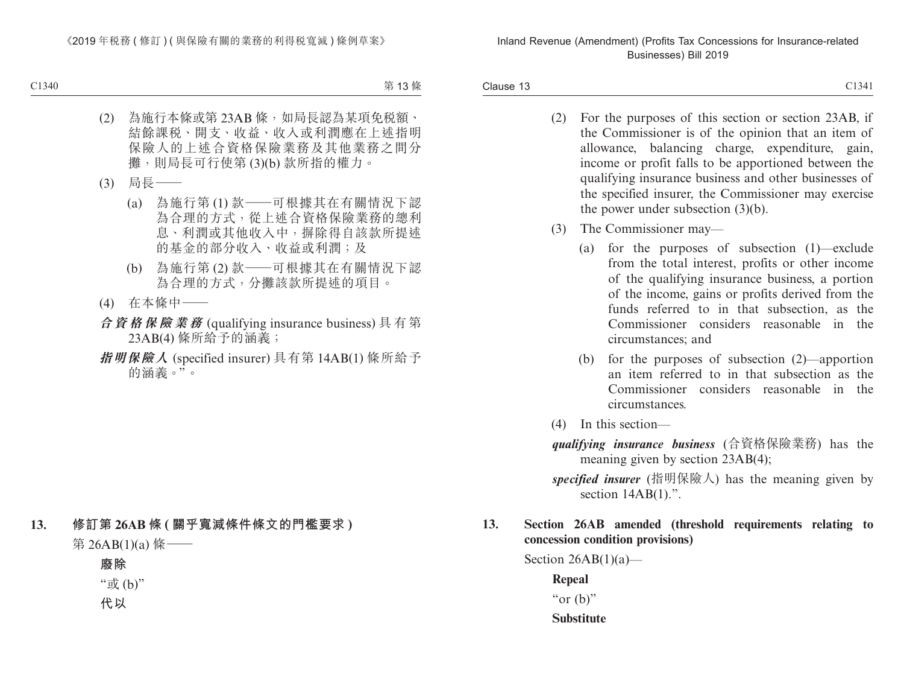Clause 13 Clause 13 and 2013 and 2013 and 2013 and 2013 and 2013 and 2013 and 2013 and 2013 and 2013 and 2013 and 2013 and 2013 and 2013 and 2013 and 2013 and 2013 and 2013 and 2013 and 2013 and 2013 and 2013 and 2013 and 2013 and 2

- (2) For the purposes of this section or section 23AB, if the Commissioner is of the opinion that an item of allowance, balancing charge, expenditure, gain, income or profit falls to be apportioned between the qualifying insurance business and other businesses of the specified insurer, the Commissioner may exercise the power under subsection (3)(b).
- (3) The Commissioner may—
	- (a) for the purposes of subsection (1)—exclude from the total interest, profits or other income of the qualifying insurance business, a portion of the income, gains or profits derived from the funds referred to in that subsection, as the Commissioner considers reasonable in the circumstances; and
	- (b) for the purposes of subsection (2)—apportion an item referred to in that subsection as the Commissioner considers reasonable in the circumstances.
- (4) In this section—
- *qualifying insurance business* (合資格保險業務) has the meaning given by section 23AB(4);
- *specified insurer* (指明保險人) has the meaning given by section  $14AB(1)$ .".

#### **13. Section 26AB amended (threshold requirements relating to concession condition provisions)**

Section  $26AB(1)(a)$ —

**Repeal** " $or$  (b)"

#### **Substitute**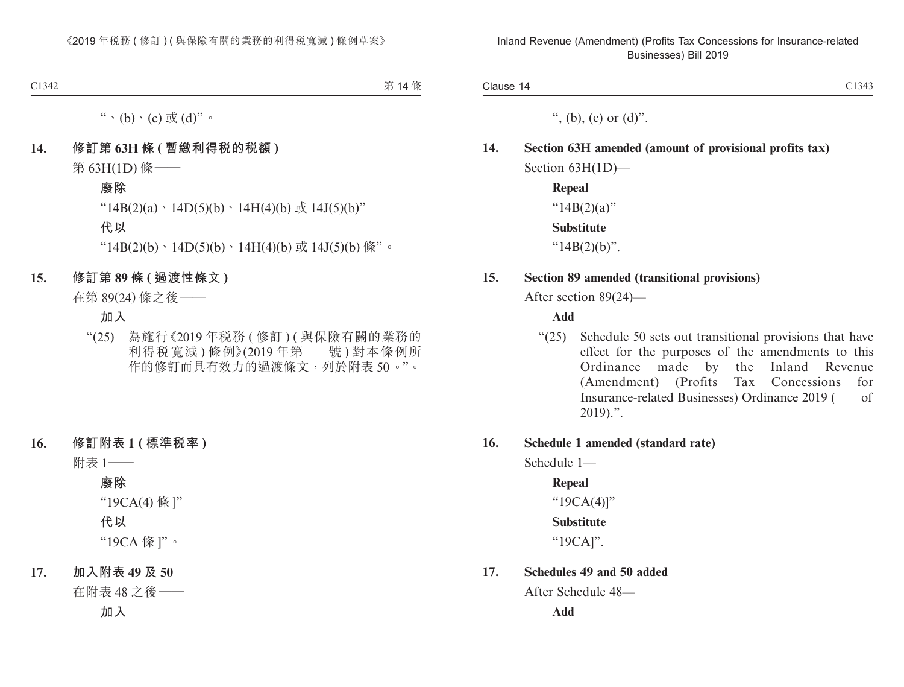", (b), (c) or  $(d)$ ".

## **14. Section 63H amended (amount of provisional profits tax)** Section 63H(1D)—

**Repeal** " $14B(2)(a)$ " **Substitute** " $14B(2)(b)$ ".

#### **15. Section 89 amended (transitional provisions)**

After section 89(24)—

#### **Add**

"(25) Schedule 50 sets out transitional provisions that have effect for the purposes of the amendments to this Ordinance made by the Inland Revenue (Amendment) (Profits Tax Concessions for Insurance-related Businesses) Ordinance 2019 ( of 2019).".

#### **16. Schedule 1 amended (standard rate)**

Schedule 1—

**Repeal** "19CA(4)]" **Substitute**

"19CA]".

#### **17. Schedules 49 and 50 added**

After Schedule 48—

**Add**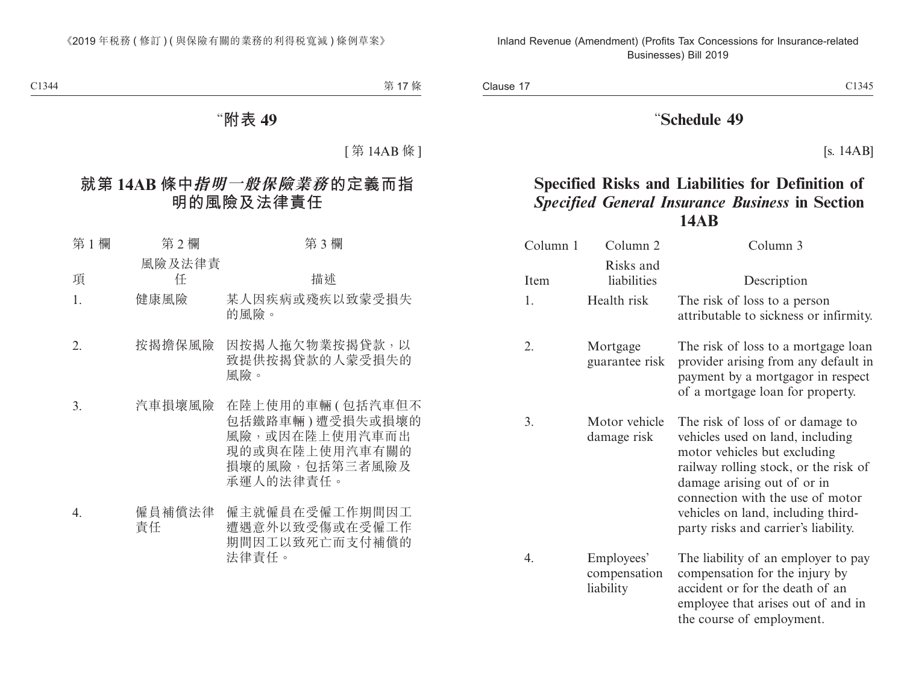# "**Schedule 49**

[s. 14AB]

# **Specified Risks and Liabilities for Definition of** *Specified General Insurance Business* **in Section 14AB**

| Column 1 | Column 2                                | Column 3                                                                                                                                                                                                                                                                                       |
|----------|-----------------------------------------|------------------------------------------------------------------------------------------------------------------------------------------------------------------------------------------------------------------------------------------------------------------------------------------------|
| Item     | Risks and<br>liabilities                | Description                                                                                                                                                                                                                                                                                    |
| 1.       | Health risk                             | The risk of loss to a person<br>attributable to sickness or infirmity.                                                                                                                                                                                                                         |
| 2.       | Mortgage<br>guarantee risk              | The risk of loss to a mortgage loan<br>provider arising from any default in<br>payment by a mortgagor in respect<br>of a mortgage loan for property.                                                                                                                                           |
| 3.       | Motor vehicle<br>damage risk            | The risk of loss of or damage to<br>vehicles used on land, including<br>motor vehicles but excluding<br>railway rolling stock, or the risk of<br>damage arising out of or in<br>connection with the use of motor<br>vehicles on land, including third-<br>party risks and carrier's liability. |
| 4.       | Employees'<br>compensation<br>liability | The liability of an employer to pay<br>compensation for the injury by<br>accident or for the death of an<br>employee that arises out of and in<br>the course of employment.                                                                                                                    |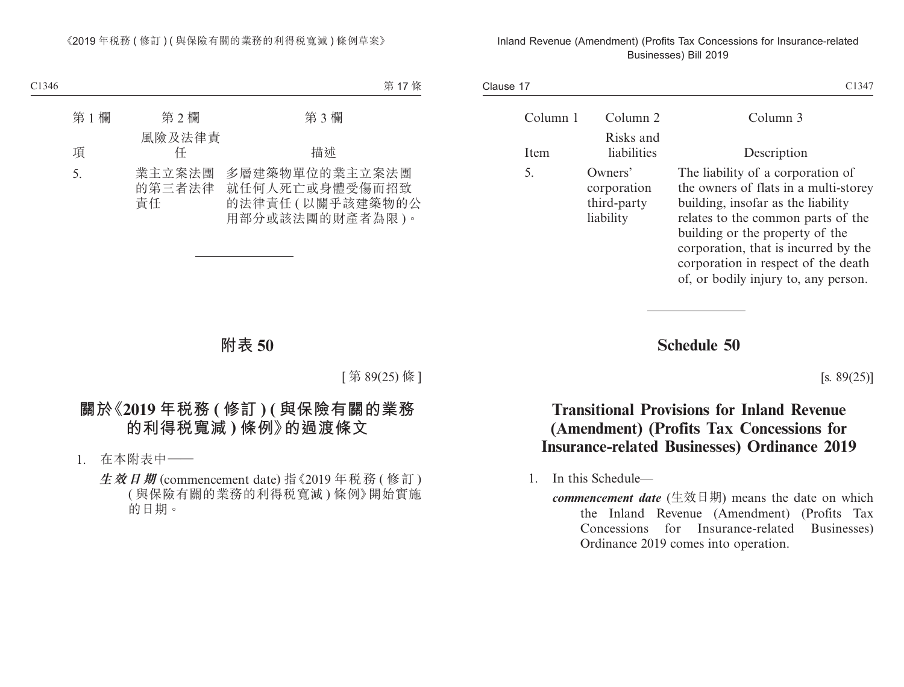| Clause 17 |                     |                                                    | C1347                                                                                                                                                                                                                                                                                                            |
|-----------|---------------------|----------------------------------------------------|------------------------------------------------------------------------------------------------------------------------------------------------------------------------------------------------------------------------------------------------------------------------------------------------------------------|
|           | Column <sup>1</sup> | Column 2                                           | Column 3                                                                                                                                                                                                                                                                                                         |
|           | Item                | Risks and<br>liabilities                           | Description                                                                                                                                                                                                                                                                                                      |
|           | 5.                  | Owners'<br>corporation<br>third-party<br>liability | The liability of a corporation of<br>the owners of flats in a multi-storey<br>building, insofar as the liability<br>relates to the common parts of the<br>building or the property of the<br>corporation, that is incurred by the<br>corporation in respect of the death<br>of, or bodily injury to, any person. |

**Schedule 50**

 $[s. 89(25)]$ 

# **Transitional Provisions for Inland Revenue (Amendment) (Profits Tax Concessions for Insurance-related Businesses) Ordinance 2019**

1. In this Schedule—

*commencement date* (生效日期) means the date on which the Inland Revenue (Amendment) (Profits Tax Concessions for Insurance-related Businesses) Ordinance 2019 comes into operation.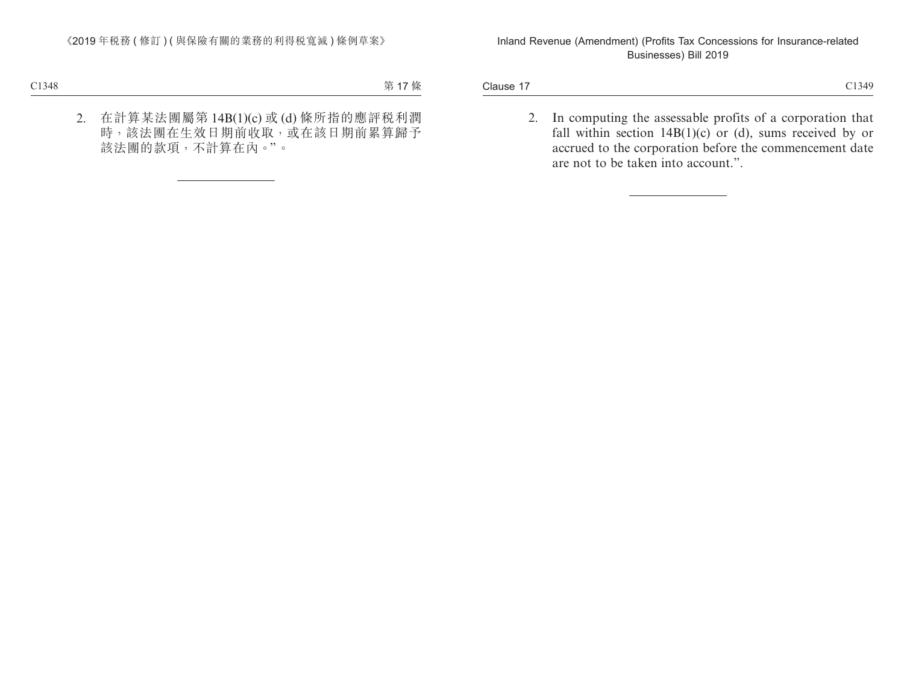Clause 17 Clause 17 and 2013/09 and 2013/09 and 2013/09 and 2013/09 and 2013/09 and 2013/09 and 2013/09

2. In computing the assessable profits of a corporation that fall within section  $14B(1)(c)$  or (d), sums received by or accrued to the corporation before the commencement date are not to be taken into account.".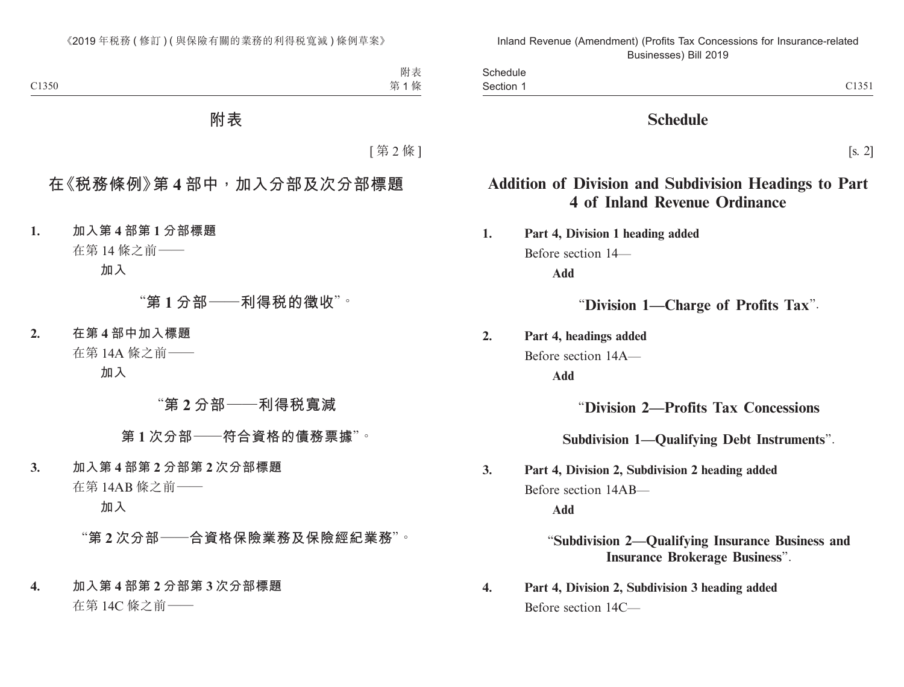| ں ر |
|-----|
|     |

# **Schedule**

[s. 2]

# **Addition of Division and Subdivision Headings to Part 4 of Inland Revenue Ordinance**

**1. Part 4, Division 1 heading added** Before section 14— **Add**

"**Division 1—Charge of Profits Tax**".

**2. Part 4, headings added**

Before section 14A—

**Add**

# "**Division 2—Profits Tax Concessions**

**Subdivision 1—Qualifying Debt Instruments**".

**3. Part 4, Division 2, Subdivision 2 heading added** Before section 14AB—

**Add**

"**Subdivision 2—Qualifying Insurance Business and Insurance Brokerage Business**".

**4. Part 4, Division 2, Subdivision 3 heading added** Before section 14C—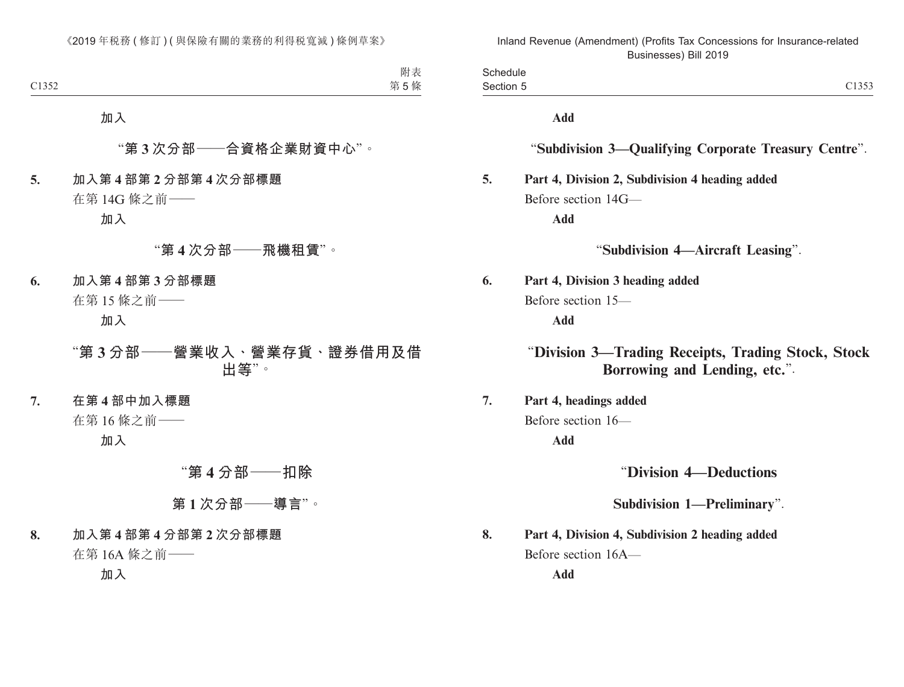| $\sim$<br><b>OUTCANIC</b> |                                             |
|---------------------------|---------------------------------------------|
| section<br>- - - - - - -  | $\sim$ $\sim$ $\sim$ $\sim$<br>. .<br>ーエンシン |

**Add**

#### "**Subdivision 3—Qualifying Corporate Treasury Centre**".

## **5. Part 4, Division 2, Subdivision 4 heading added** Before section 14G—

**Add**

"**Subdivision 4—Aircraft Leasing**".

**6. Part 4, Division 3 heading added** Before section 15—

**Add**

# "**Division 3—Trading Receipts, Trading Stock, Stock Borrowing and Lending, etc.**".

**7. Part 4, headings added** Before section 16—

**Add**

"**Division 4—Deductions**

**Subdivision 1—Preliminary**".

**8. Part 4, Division 4, Subdivision 2 heading added** Before section 16A—

**Add**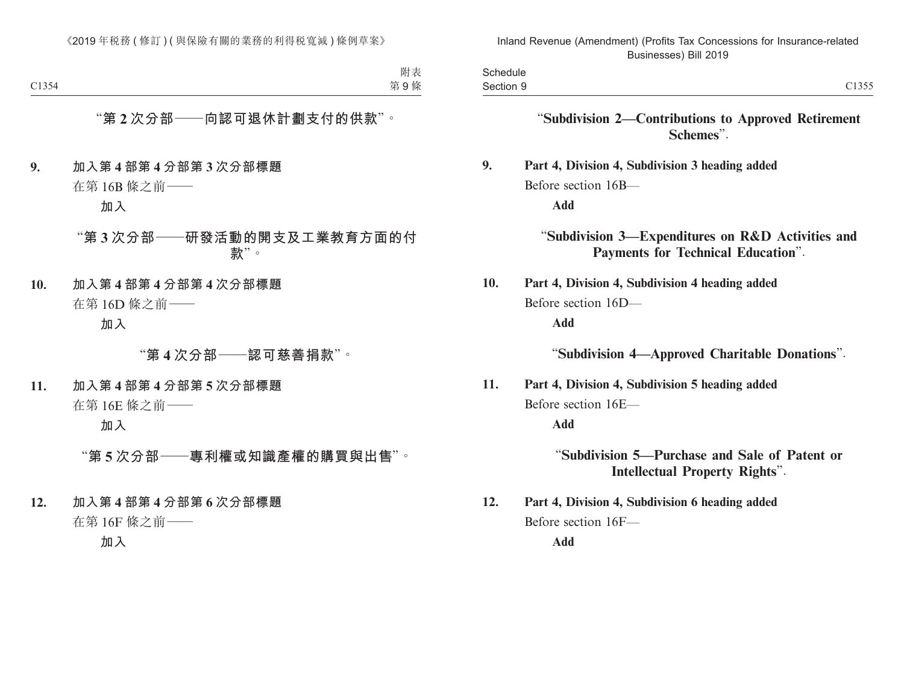| Schedule  |                                                                                         |
|-----------|-----------------------------------------------------------------------------------------|
| Section 9 | C1355                                                                                   |
|           | "Subdivision 2-Contributions to Approved Retirement<br>Schemes".                        |
| 9.        | Part 4, Division 4, Subdivision 3 heading added                                         |
|           | Before section 16B-                                                                     |
|           | <b>Add</b>                                                                              |
|           | "Subdivision 3-Expenditures on R&D Activities and<br>Payments for Technical Education". |
| 10.       | Part 4, Division 4, Subdivision 4 heading added                                         |
|           | Before section 16D-                                                                     |
|           | <b>Add</b>                                                                              |
|           | "Subdivision 4-Approved Charitable Donations".                                          |
| 11.       | Part 4, Division 4, Subdivision 5 heading added                                         |
|           | Before section 16E-                                                                     |
|           | <b>Add</b>                                                                              |
|           | "Subdivision 5—Purchase and Sale of Patent or<br><b>Intellectual Property Rights".</b>  |
| 12.       | Part 4, Division 4, Subdivision 6 heading added                                         |
|           | Before section 16F-                                                                     |
|           | <b>Add</b>                                                                              |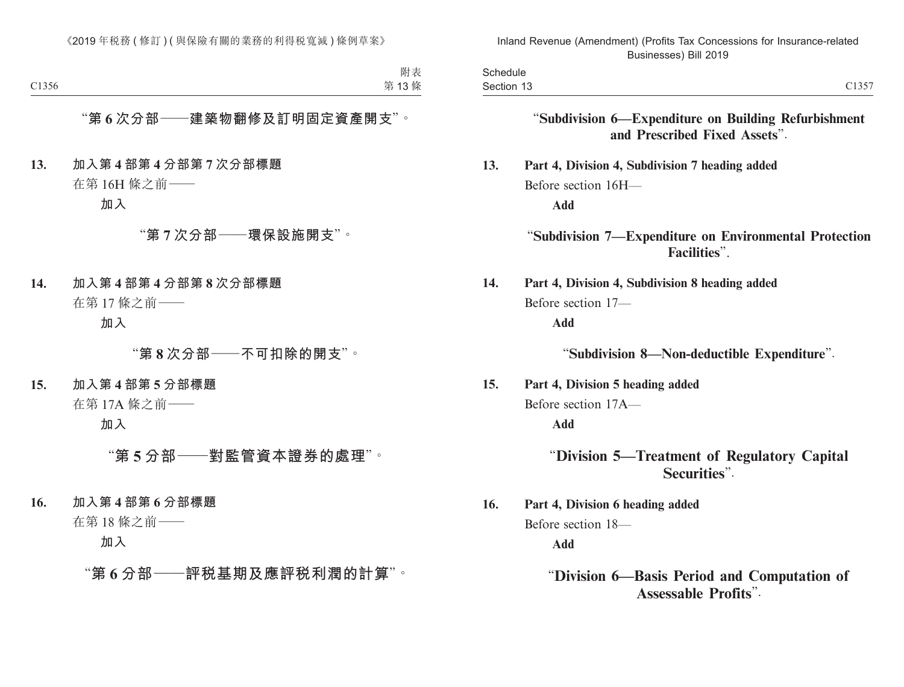| $\cap$ 1 $\cap$ $\subset$ $\cap$<br>section<br>≺৲<br>.<br>------ | -nadula<br><b>DUILCANIC</b> |  |
|------------------------------------------------------------------|-----------------------------|--|
|                                                                  |                             |  |

"**Subdivision 6—Expenditure on Building Refurbishment and Prescribed Fixed Assets**".

**13. Part 4, Division 4, Subdivision 7 heading added** Before section 16H—

**Add**

"**Subdivision 7—Expenditure on Environmental Protection Facilities**".

**14. Part 4, Division 4, Subdivision 8 heading added** Before section 17—

**Add**

"**Subdivision 8—Non-deductible Expenditure**".

**15. Part 4, Division 5 heading added** Before section 17A—

**Add**

"**Division 5—Treatment of Regulatory Capital Securities**".

**16. Part 4, Division 6 heading added** Before section 18— **Add**

"**Division 6—Basis Period and Computation of Assessable Profits**".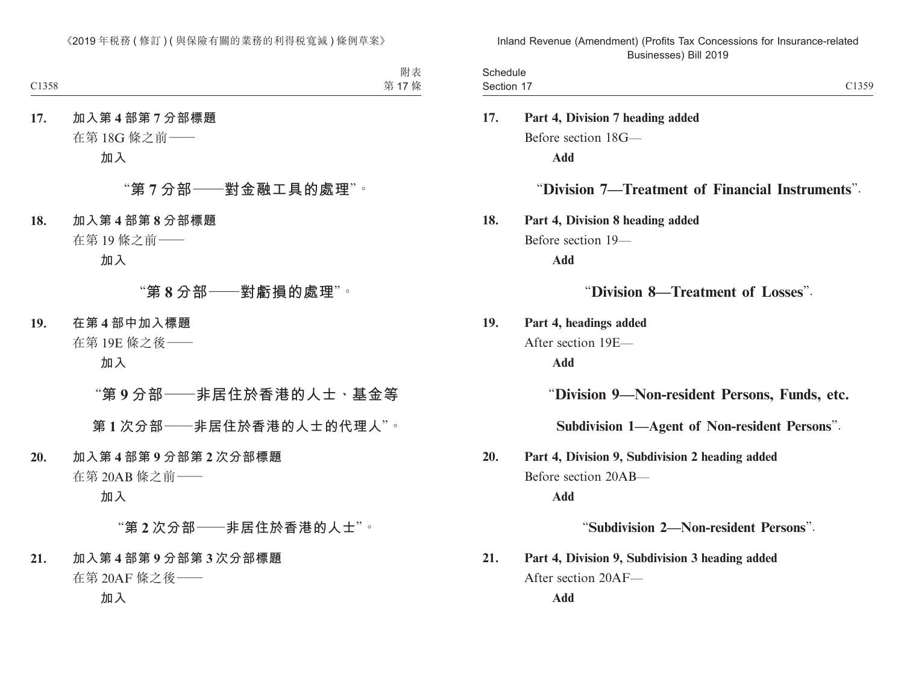| Schedule   |                                                  |
|------------|--------------------------------------------------|
| Section 17 | C1359                                            |
| 17.        | Part 4, Division 7 heading added                 |
|            | Before section 18G-                              |
|            | <b>Add</b>                                       |
|            | "Division 7—Treatment of Financial Instruments". |
| 18.        | Part 4, Division 8 heading added                 |
|            | Before section 19-                               |
|            | <b>Add</b>                                       |
|            | "Division 8—Treatment of Losses".                |
| 19.        | Part 4, headings added                           |
|            | After section 19E-                               |
|            | <b>Add</b>                                       |
|            | "Division 9-Non-resident Persons, Funds, etc.    |
|            | Subdivision 1-Agent of Non-resident Persons".    |
| 20.        | Part 4, Division 9, Subdivision 2 heading added  |
|            | Before section 20AB-                             |
|            | <b>Add</b>                                       |
|            | "Subdivision 2-Non-resident Persons".            |
| 21.        | Part 4, Division 9, Subdivision 3 heading added  |
|            | After section 20AF-                              |
|            | Add                                              |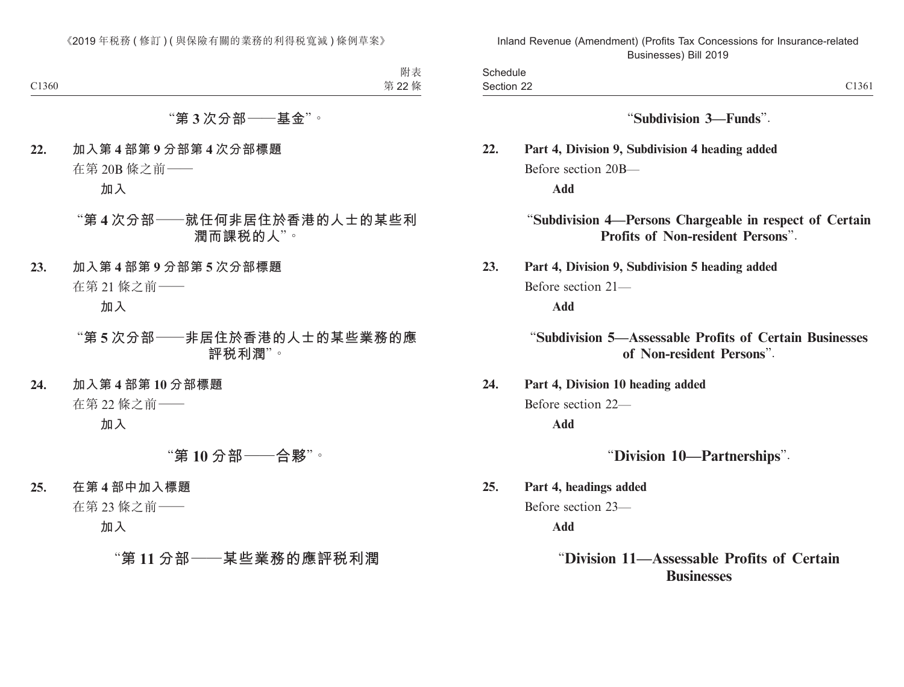|                                                                                              | Schedule<br>Section 22 |
|----------------------------------------------------------------------------------------------|------------------------|
| "Subdivision 3-Funds".                                                                       |                        |
| Part 4, Division 9, Subdivision 4 heading added                                              | 22.                    |
| Before section 20B-                                                                          |                        |
| <b>Add</b>                                                                                   |                        |
| "Subdivision 4-Persons Chargeable in respect of Certain<br>Profits of Non-resident Persons". |                        |
| Part 4, Division 9, Subdivision 5 heading added                                              | 23.                    |
| Before section 21-                                                                           |                        |
| <b>Add</b>                                                                                   |                        |
| "Subdivision 5—Assessable Profits of Certain Businesses<br>of Non-resident Persons".         |                        |
| Part 4, Division 10 heading added                                                            | 24.                    |
| Before section 22-                                                                           |                        |
| <b>Add</b>                                                                                   |                        |
| "Division 10-Partnerships".                                                                  |                        |
| Part 4, headings added                                                                       | 25.                    |
| Before section 23-                                                                           |                        |
| <b>Add</b>                                                                                   |                        |
| "Division 11—Assessable Profits of Certain<br><b>Businesses</b>                              |                        |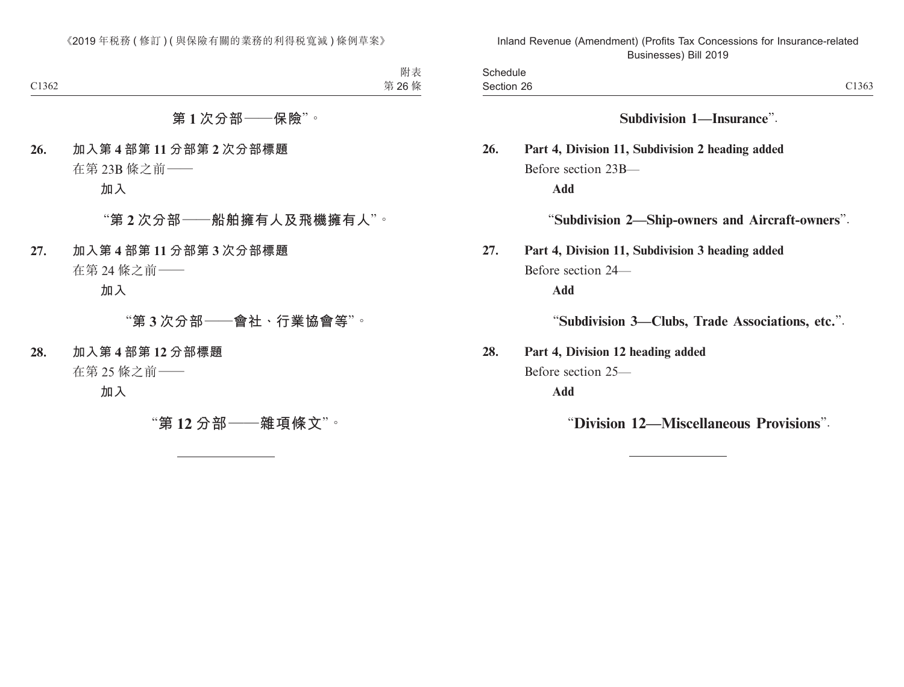|                                                  | Section 26          |
|--------------------------------------------------|---------------------|
| Subdivision 1-Insurance".                        |                     |
| Part 4, Division 11, Subdivision 2 heading added |                     |
|                                                  | Before section 23B- |
|                                                  | Add                 |
| "Subdivision 2—Ship-owners and Aircraft-owners". |                     |
| Part 4, Division 11, Subdivision 3 heading added |                     |
|                                                  | Before section 24—  |
|                                                  | Add                 |
| "Subdivision 3—Clubs, Trade Associations, etc.". |                     |
| Part 4, Division 12 heading added                |                     |
|                                                  | Before section 25-  |
|                                                  | <b>Add</b>          |

"**Division 12—Miscellaneous Provisions**".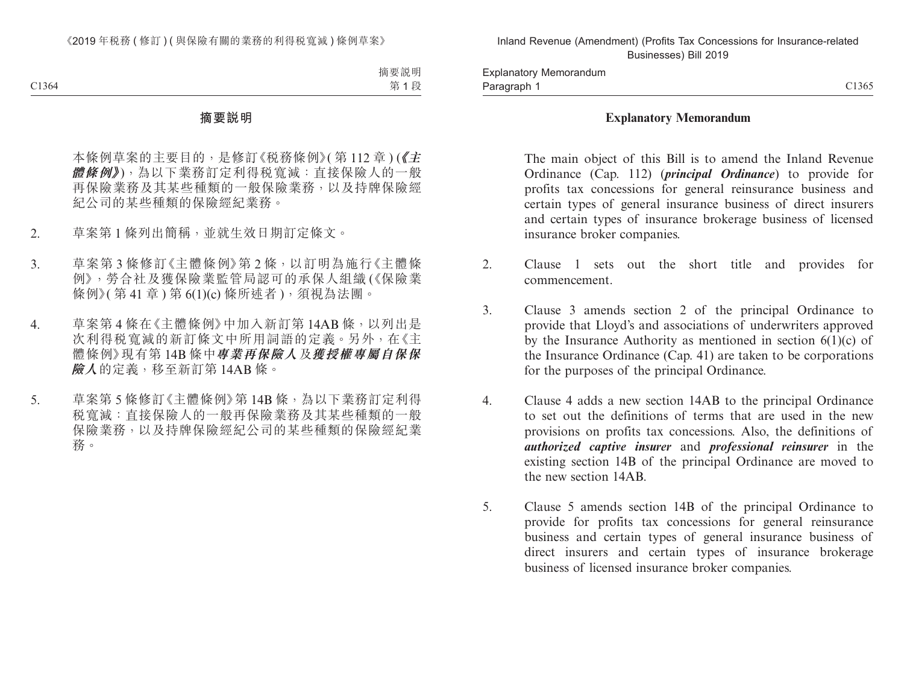#### **Explanatory Memorandum**

The main object of this Bill is to amend the Inland Revenue Ordinance (Cap. 112) (*principal Ordinance*) to provide for profits tax concessions for general reinsurance business and certain types of general insurance business of direct insurers and certain types of insurance brokerage business of licensed insurance broker companies.

- 2. Clause 1 sets out the short title and provides for commencement.
- 3. Clause 3 amends section 2 of the principal Ordinance to provide that Lloyd's and associations of underwriters approved by the Insurance Authority as mentioned in section  $6(1)(c)$  of the Insurance Ordinance (Cap. 41) are taken to be corporations for the purposes of the principal Ordinance.
- 4. Clause 4 adds a new section 14AB to the principal Ordinance to set out the definitions of terms that are used in the new provisions on profits tax concessions. Also, the definitions of *authorized captive insurer* and *professional reinsurer* in the existing section 14B of the principal Ordinance are moved to the new section 14AB.
- 5. Clause 5 amends section 14B of the principal Ordinance to provide for profits tax concessions for general reinsurance business and certain types of general insurance business of direct insurers and certain types of insurance brokerage business of licensed insurance broker companies.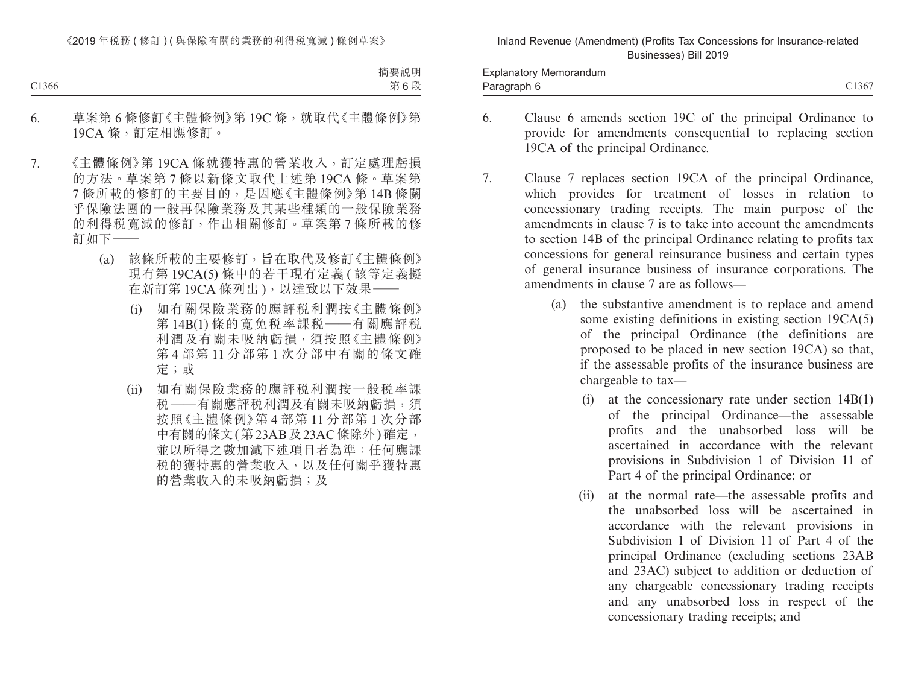Paragraph 6 C1367 Explanatory Memorandum Paragraph 6

- 6. Clause 6 amends section 19C of the principal Ordinance to provide for amendments consequential to replacing section 19CA of the principal Ordinance.
- 7. Clause 7 replaces section 19CA of the principal Ordinance, which provides for treatment of losses in relation to concessionary trading receipts. The main purpose of the amendments in clause 7 is to take into account the amendments to section 14B of the principal Ordinance relating to profits tax concessions for general reinsurance business and certain types of general insurance business of insurance corporations. The amendments in clause 7 are as follows—
	- (a) the substantive amendment is to replace and amend some existing definitions in existing section 19CA(5) of the principal Ordinance (the definitions are proposed to be placed in new section 19CA) so that, if the assessable profits of the insurance business are chargeable to tax—
		- (i) at the concessionary rate under section 14B(1) of the principal Ordinance—the assessable profits and the unabsorbed loss will be ascertained in accordance with the relevant provisions in Subdivision 1 of Division 11 of Part 4 of the principal Ordinance; or
		- (ii) at the normal rate—the assessable profits and the unabsorbed loss will be ascertained in accordance with the relevant provisions in Subdivision 1 of Division 11 of Part 4 of the principal Ordinance (excluding sections 23AB and 23AC) subject to addition or deduction of any chargeable concessionary trading receipts and any unabsorbed loss in respect of the concessionary trading receipts; and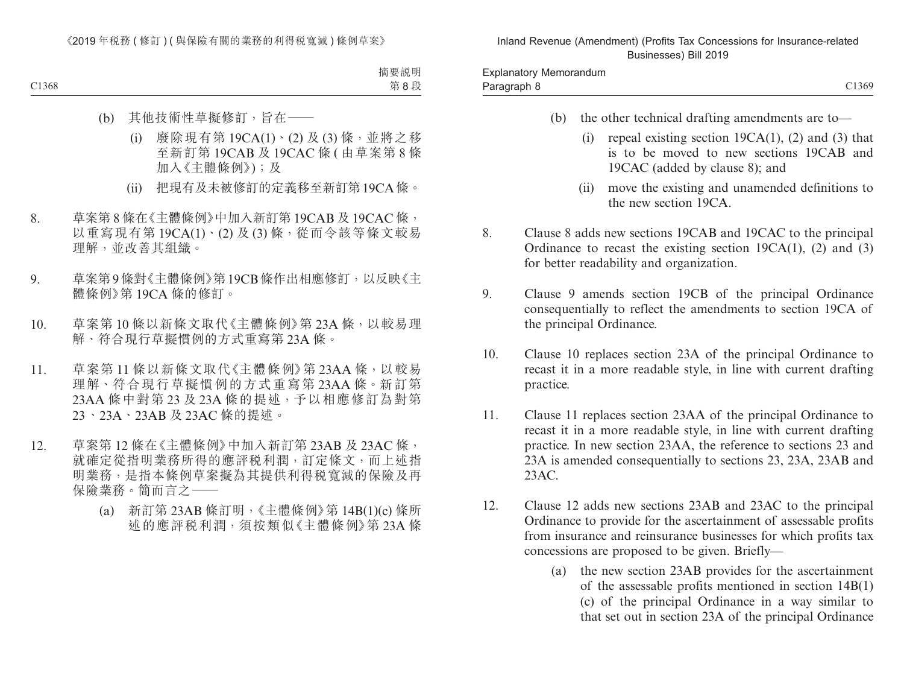- (b) the other technical drafting amendments are to—
	- (i) repeal existing section 19CA(1), (2) and (3) that is to be moved to new sections 19CAB and 19CAC (added by clause 8); and
	- (ii) move the existing and unamended definitions to the new section 19CA.
- 8. Clause 8 adds new sections 19CAB and 19CAC to the principal Ordinance to recast the existing section  $19CA(1)$ ,  $(2)$  and  $(3)$ for better readability and organization.
- 9. Clause 9 amends section 19CB of the principal Ordinance consequentially to reflect the amendments to section 19CA of the principal Ordinance.
- 10. Clause 10 replaces section 23A of the principal Ordinance to recast it in a more readable style, in line with current drafting practice.
- 11. Clause 11 replaces section 23AA of the principal Ordinance to recast it in a more readable style, in line with current drafting practice. In new section 23AA, the reference to sections 23 and 23A is amended consequentially to sections 23, 23A, 23AB and 23AC.
- 12. Clause 12 adds new sections 23AB and 23AC to the principal Ordinance to provide for the ascertainment of assessable profits from insurance and reinsurance businesses for which profits tax concessions are proposed to be given. Briefly—
	- (a) the new section 23AB provides for the ascertainment of the assessable profits mentioned in section 14B(1) (c) of the principal Ordinance in a way similar to that set out in section 23A of the principal Ordinance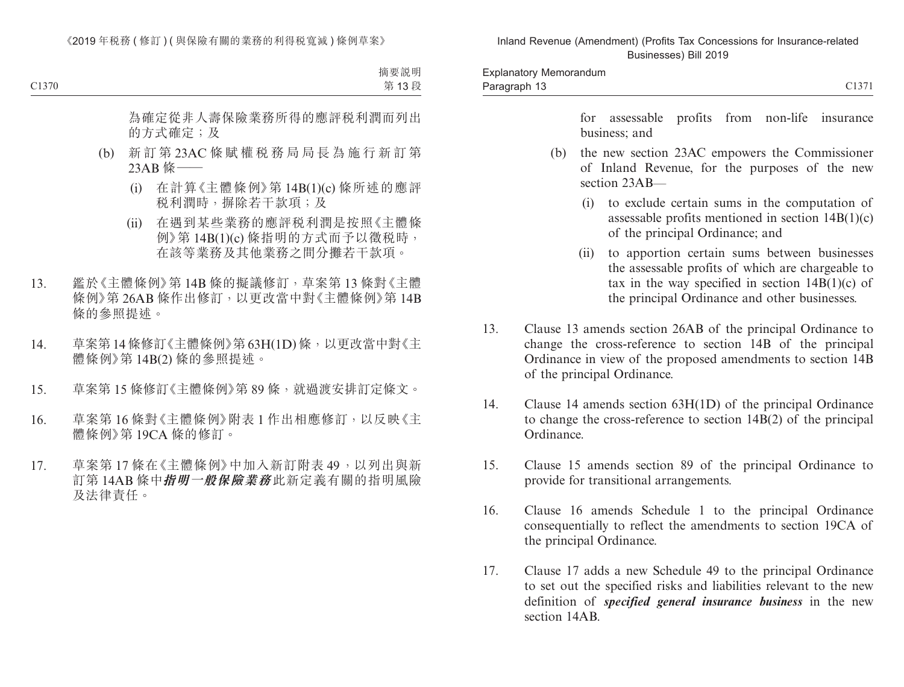for assessable profits from non-life insurance business; and

- (b) the new section 23AC empowers the Commissioner of Inland Revenue, for the purposes of the new section  $23AB$ —
	- (i) to exclude certain sums in the computation of assessable profits mentioned in section 14B(1)(c) of the principal Ordinance; and
	- (ii) to apportion certain sums between businesses the assessable profits of which are chargeable to tax in the way specified in section  $14B(1)(c)$  of the principal Ordinance and other businesses.
- 13. Clause 13 amends section 26AB of the principal Ordinance to change the cross-reference to section 14B of the principal Ordinance in view of the proposed amendments to section 14B of the principal Ordinance.
- 14. Clause 14 amends section 63H(1D) of the principal Ordinance to change the cross-reference to section 14B(2) of the principal Ordinance.
- 15. Clause 15 amends section 89 of the principal Ordinance to provide for transitional arrangements.
- 16. Clause 16 amends Schedule 1 to the principal Ordinance consequentially to reflect the amendments to section 19CA of the principal Ordinance.
- 17. Clause 17 adds a new Schedule 49 to the principal Ordinance to set out the specified risks and liabilities relevant to the new definition of *specified general insurance business* in the new section 14AB